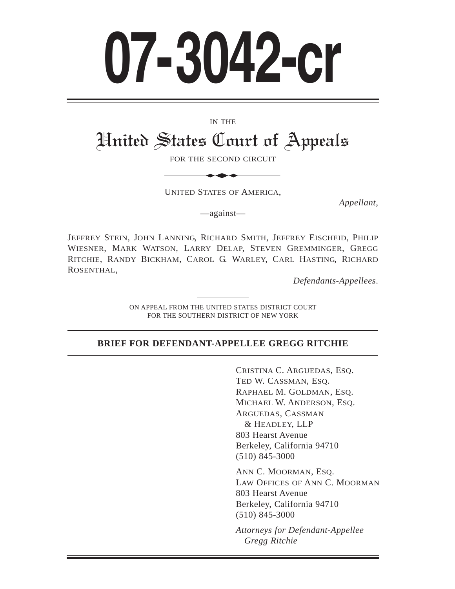# **07-3042-cr**

#### IN THE

# United States Court of Appeals IN THE<br>
States Court of<br>
FOR THE SECOND CIRCUIT

FOR THE SECOND CIRCUIT

UNITED STATES OF AMERICA,

*Appellant*,

—against—

JEFFREY STEIN, JOHN LANNING, RICHARD SMITH, JEFFREY EISCHEID, PHILIP WIESNER, MARK WATSON, LARRY DELAP, STEVEN GREMMINGER, GREGG RITCHIE, RANDY BICKHAM, CAROL G. WARLEY, CARL HASTING, RICHARD ROSENTHAL,

*Defendants-Appellees*.

ON APPEAL FROM THE UNITED STATES DISTRICT COURT FOR THE SOUTHERN DISTRICT OF NEW YORK

#### **BRIEF FOR DEFENDANT-APPELLEE GREGG RITCHIE**

CRISTINA C. ARGUEDAS, ESQ. TED W. CASSMAN, ESQ. RAPHAEL M. GOLDMAN, ESQ. MICHAEL W. ANDERSON, ESQ. ARGUEDAS, CASSMAN & HEADLEY, LLP 803 Hearst Avenue Berkeley, California 94710 (510) 845-3000

ANN C. MOORMAN, ESQ. LAW OFFICES OF ANN C. MOORMAN 803 Hearst Avenue Berkeley, California 94710 (510) 845-3000

*Attorneys for Defendant-Appellee Gregg Ritchie*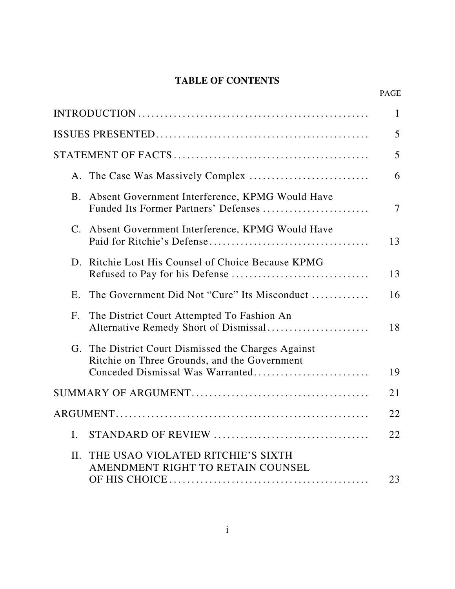# **TABLE OF CONTENTS**

PAGE

|                |                                                                                                                                         | $\mathbf{1}$             |
|----------------|-----------------------------------------------------------------------------------------------------------------------------------------|--------------------------|
|                |                                                                                                                                         | 5                        |
|                |                                                                                                                                         | 5                        |
|                |                                                                                                                                         | 6                        |
| B <sub>1</sub> | Absent Government Interference, KPMG Would Have<br>Funded Its Former Partners' Defenses                                                 | $\overline{\mathcal{L}}$ |
| C.             | Absent Government Interference, KPMG Would Have                                                                                         | 13                       |
| D.             | Ritchie Lost His Counsel of Choice Because KPMG                                                                                         | 13                       |
| $E_{\cdot}$    | The Government Did Not "Cure" Its Misconduct                                                                                            | 16                       |
| F <sub>1</sub> | The District Court Attempted To Fashion An<br>Alternative Remedy Short of Dismissal                                                     | 18                       |
|                | G. The District Court Dismissed the Charges Against<br>Ritchie on Three Grounds, and the Government<br>Conceded Dismissal Was Warranted | 19                       |
|                |                                                                                                                                         | 21                       |
|                |                                                                                                                                         | 22                       |
| I.             |                                                                                                                                         | 22                       |
|                |                                                                                                                                         |                          |
| II.            | THE USAO VIOLATED RITCHIE'S SIXTH<br>AMENDMENT RIGHT TO RETAIN COUNSEL                                                                  |                          |
|                |                                                                                                                                         | 23                       |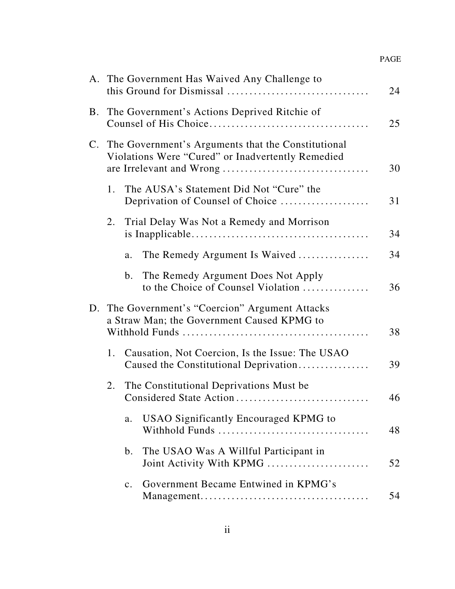|    |                | A. The Government Has Waived Any Challenge to                                                              | 24 |
|----|----------------|------------------------------------------------------------------------------------------------------------|----|
|    |                | B. The Government's Actions Deprived Ritchie of                                                            | 25 |
|    |                | C. The Government's Arguments that the Constitutional<br>Violations Were "Cured" or Inadvertently Remedied | 30 |
| 1. |                | The AUSA's Statement Did Not "Cure" the<br>Deprivation of Counsel of Choice                                | 31 |
| 2. |                | Trial Delay Was Not a Remedy and Morrison                                                                  | 34 |
|    | a.             | The Remedy Argument Is Waived                                                                              | 34 |
|    | b.             | The Remedy Argument Does Not Apply<br>to the Choice of Counsel Violation                                   | 36 |
|    |                | D. The Government's "Coercion" Argument Attacks<br>a Straw Man; the Government Caused KPMG to              | 38 |
| 1. |                | Causation, Not Coercion, Is the Issue: The USAO<br>Caused the Constitutional Deprivation                   | 39 |
| 2. |                | The Constitutional Deprivations Must be<br>Considered State Action                                         | 46 |
|    | a.             | <b>USAO Significantly Encouraged KPMG to</b>                                                               | 48 |
|    | b.             | The USAO Was A Willful Participant in<br>Joint Activity With KPMG                                          | 52 |
|    | $\mathbf{c}$ . | Government Became Entwined in KPMG's                                                                       | 54 |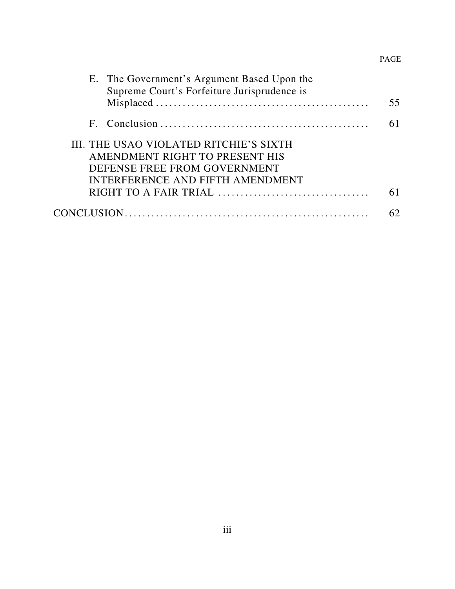# PAGE

| E. The Government's Argument Based Upon the |    |
|---------------------------------------------|----|
| Supreme Court's Forfeiture Jurisprudence is |    |
|                                             | 55 |
|                                             |    |
| III. THE USAO VIOLATED RITCHIE'S SIXTH      |    |
| AMENDMENT RIGHT TO PRESENT HIS              |    |
| DEFENSE FREE FROM GOVERNMENT                |    |
| INTERFERENCE AND FIFTH AMENDMENT            |    |
|                                             |    |
|                                             |    |
|                                             |    |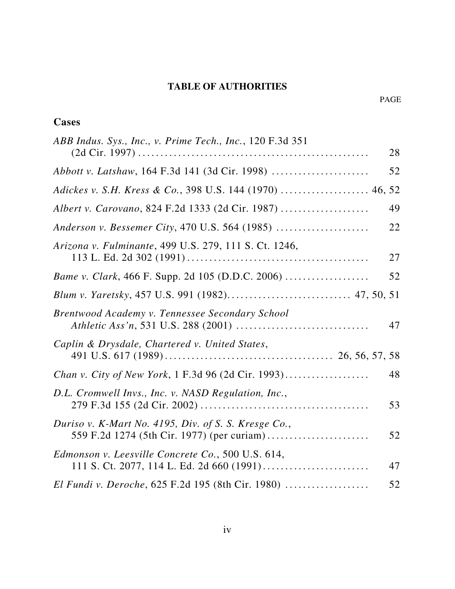# **TABLE OF AUTHORITIES**

# **Cases**

| ABB Indus. Sys., Inc., v. Prime Tech., Inc., 120 F.3d 351 |    |
|-----------------------------------------------------------|----|
|                                                           | 28 |
|                                                           | 52 |
| Adickes v. S.H. Kress & Co., 398 U.S. 144 (1970)  46, 52  |    |
| Albert v. Carovano, 824 F.2d 1333 (2d Cir. 1987)          | 49 |
| Anderson v. Bessemer City, 470 U.S. 564 (1985)            | 22 |
| Arizona v. Fulminante, 499 U.S. 279, 111 S. Ct. 1246,     | 27 |
|                                                           | 52 |
|                                                           |    |
| Brentwood Academy v. Tennessee Secondary School           | 47 |
| Caplin & Drysdale, Chartered v. United States,            |    |
|                                                           | 48 |
| D.L. Cromwell Invs., Inc. v. NASD Regulation, Inc.,       | 53 |
| Duriso v. K-Mart No. 4195, Div. of S. S. Kresge Co.,      | 52 |
| Edmonson v. Leesville Concrete Co., 500 U.S. 614,         | 47 |
| El Fundi v. Deroche, 625 F.2d 195 (8th Cir. 1980)         | 52 |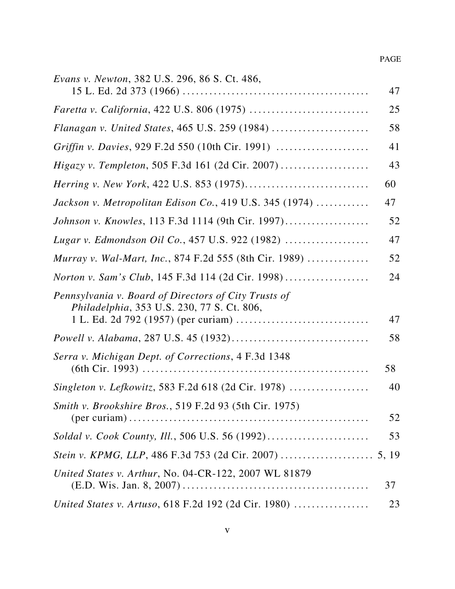| <i>Evans v. Newton, 382 U.S. 296, 86 S. Ct. 486,</i>                                               |       |
|----------------------------------------------------------------------------------------------------|-------|
|                                                                                                    | 47    |
|                                                                                                    | 25    |
| Flanagan v. United States, 465 U.S. 259 (1984)                                                     | 58    |
|                                                                                                    | 41    |
| Higazy v. Templeton, 505 F.3d 161 (2d Cir. 2007)                                                   | 43    |
|                                                                                                    | 60    |
| Jackson v. Metropolitan Edison Co., 419 U.S. 345 (1974) $\ldots$                                   | 47    |
| Johnson v. Knowles, 113 F.3d 1114 (9th Cir. 1997)                                                  | 52    |
| Lugar v. Edmondson Oil Co., 457 U.S. 922 (1982)                                                    | 47    |
| Murray v. Wal-Mart, Inc., 874 F.2d 555 (8th Cir. 1989)                                             | 52    |
| Norton v. Sam's Club, 145 F.3d 114 (2d Cir. 1998)                                                  | 24    |
| Pennsylvania v. Board of Directors of City Trusts of<br>Philadelphia, 353 U.S. 230, 77 S. Ct. 806, |       |
|                                                                                                    | 47    |
|                                                                                                    | 58    |
| Serra v. Michigan Dept. of Corrections, 4 F.3d 1348                                                |       |
|                                                                                                    | 58    |
| Singleton v. Lefkowitz, 583 F.2d 618 (2d Cir. 1978)                                                | 40    |
| Smith v. Brookshire Bros., 519 F.2d 93 (5th Cir. 1975)                                             | 52    |
| Soldal v. Cook County, Ill., 506 U.S. 56 (1992)                                                    | 53    |
|                                                                                                    | 5, 19 |
| United States v. Arthur, No. 04-CR-122, 2007 WL 81879                                              | 37    |
| United States v. Artuso, 618 F.2d 192 (2d Cir. 1980)                                               | 23    |
|                                                                                                    |       |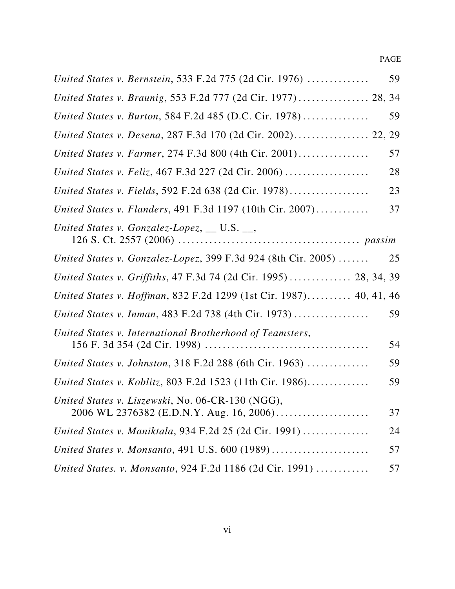| United States v. Bernstein, 533 F.2d 775 (2d Cir. 1976)                       | 59 |
|-------------------------------------------------------------------------------|----|
| United States v. Braunig, 553 F.2d 777 (2d Cir. 1977)  28, 34                 |    |
| United States v. Burton, 584 F.2d 485 (D.C. Cir. 1978)                        | 59 |
| United States v. Desena, 287 F.3d 170 (2d Cir. 2002) 22, 29                   |    |
| United States v. Farmer, 274 F.3d 800 (4th Cir. 2001)                         | 57 |
| United States v. Feliz, 467 F.3d 227 (2d Cir. 2006)                           | 28 |
| United States v. Fields, 592 F.2d 638 (2d Cir. 1978)                          | 23 |
| United States v. Flanders, 491 F.3d 1197 (10th Cir. 2007)                     | 37 |
| United States v. Gonzalez-Lopez, $\_\_$ U.S. $\_\_$                           |    |
| United States v. Gonzalez-Lopez, 399 F.3d 924 (8th Cir. 2005) $\ldots \ldots$ | 25 |
| United States v. Griffiths, 47 F.3d 74 (2d Cir. 1995)  28, 34, 39             |    |
| United States v. Hoffman, 832 F.2d 1299 (1st Cir. 1987) 40, 41, 46            |    |
| United States v. Inman, 483 F.2d 738 (4th Cir. 1973)                          | 59 |
| United States v. International Brotherhood of Teamsters,                      | 54 |
| United States v. Johnston, 318 F.2d 288 (6th Cir. 1963)                       | 59 |
| United States v. Koblitz, 803 F.2d 1523 (11th Cir. 1986)                      | 59 |
| United States v. Liszewski, No. 06-CR-130 (NGG),                              | 37 |
| United States v. Maniktala, 934 F.2d 25 (2d Cir. 1991)                        | 24 |
|                                                                               | 57 |
| United States. v. Monsanto, 924 F.2d 1186 (2d Cir. 1991)                      | 57 |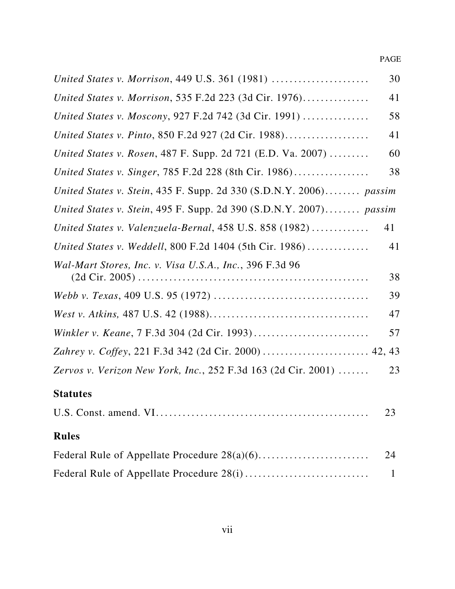PAGE

|                                                                      | 30          |
|----------------------------------------------------------------------|-------------|
| United States v. Morrison, 535 F.2d 223 (3d Cir. 1976)               | 41          |
| United States v. Moscony, 927 F.2d 742 (3d Cir. 1991)                | 58          |
| United States v. Pinto, 850 F.2d 927 (2d Cir. 1988)                  | 41          |
| United States v. Rosen, 487 F. Supp. 2d 721 (E.D. Va. 2007)          | 60          |
| United States v. Singer, 785 F.2d 228 (8th Cir. 1986)                | 38          |
| United States v. Stein, 435 F. Supp. 2d 330 (S.D.N.Y. 2006) passim   |             |
| United States v. Stein, 495 F. Supp. 2d 390 $(S.D.N.Y. 2007)$ passim |             |
| United States v. Valenzuela-Bernal, 458 U.S. 858 (1982)              | 41          |
| United States v. Weddell, 800 F.2d 1404 (5th Cir. 1986)              | 41          |
| Wal-Mart Stores, Inc. v. Visa U.S.A., Inc., 396 F.3d 96              | 38          |
|                                                                      | 39          |
|                                                                      | 47          |
|                                                                      | 57          |
|                                                                      |             |
| Zervos v. Verizon New York, Inc., 252 F.3d 163 (2d Cir. 2001)        | 23          |
| <b>Statutes</b>                                                      |             |
|                                                                      | 23          |
| <b>Rules</b>                                                         |             |
|                                                                      | 24          |
|                                                                      | $\mathbf 1$ |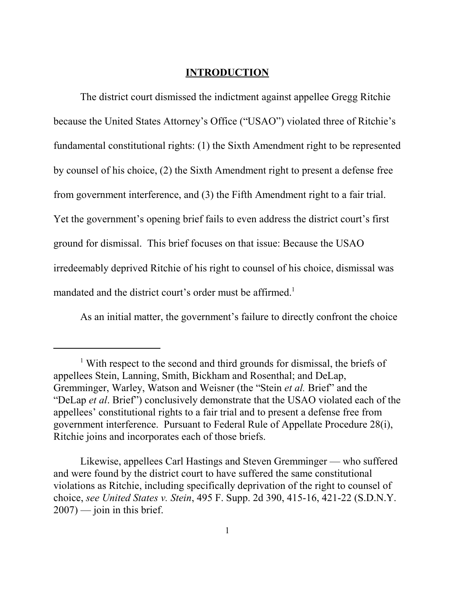#### **INTRODUCTION**

The district court dismissed the indictment against appellee Gregg Ritchie because the United States Attorney's Office ("USAO") violated three of Ritchie's fundamental constitutional rights: (1) the Sixth Amendment right to be represented by counsel of his choice, (2) the Sixth Amendment right to present a defense free from government interference, and (3) the Fifth Amendment right to a fair trial. Yet the government's opening brief fails to even address the district court's first ground for dismissal. This brief focuses on that issue: Because the USAO irredeemably deprived Ritchie of his right to counsel of his choice, dismissal was mandated and the district court's order must be affirmed.<sup>1</sup>

As an initial matter, the government's failure to directly confront the choice

<sup>&</sup>lt;sup>1</sup> With respect to the second and third grounds for dismissal, the briefs of appellees Stein, Lanning, Smith, Bickham and Rosenthal; and DeLap, Gremminger, Warley, Watson and Weisner (the "Stein *et al.* Brief" and the "DeLap *et al*. Brief") conclusively demonstrate that the USAO violated each of the appellees' constitutional rights to a fair trial and to present a defense free from government interference. Pursuant to Federal Rule of Appellate Procedure 28(i), Ritchie joins and incorporates each of those briefs.

Likewise, appellees Carl Hastings and Steven Gremminger — who suffered and were found by the district court to have suffered the same constitutional violations as Ritchie, including specifically deprivation of the right to counsel of choice, *see United States v. Stein*, 495 F. Supp. 2d 390, 415-16, 421-22 (S.D.N.Y.  $2007$ ) — join in this brief.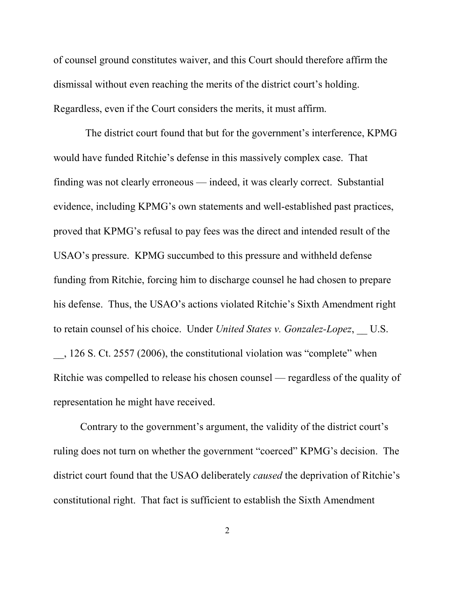of counsel ground constitutes waiver, and this Court should therefore affirm the dismissal without even reaching the merits of the district court's holding. Regardless, even if the Court considers the merits, it must affirm.

 The district court found that but for the government's interference, KPMG would have funded Ritchie's defense in this massively complex case. That finding was not clearly erroneous — indeed, it was clearly correct. Substantial evidence, including KPMG's own statements and well-established past practices, proved that KPMG's refusal to pay fees was the direct and intended result of the USAO's pressure. KPMG succumbed to this pressure and withheld defense funding from Ritchie, forcing him to discharge counsel he had chosen to prepare his defense. Thus, the USAO's actions violated Ritchie's Sixth Amendment right to retain counsel of his choice. Under *United States v. Gonzalez-Lopez*, U.S.

\_\_, 126 S. Ct. 2557 (2006), the constitutional violation was "complete" when Ritchie was compelled to release his chosen counsel — regardless of the quality of representation he might have received.

Contrary to the government's argument, the validity of the district court's ruling does not turn on whether the government "coerced" KPMG's decision. The district court found that the USAO deliberately *caused* the deprivation of Ritchie's constitutional right. That fact is sufficient to establish the Sixth Amendment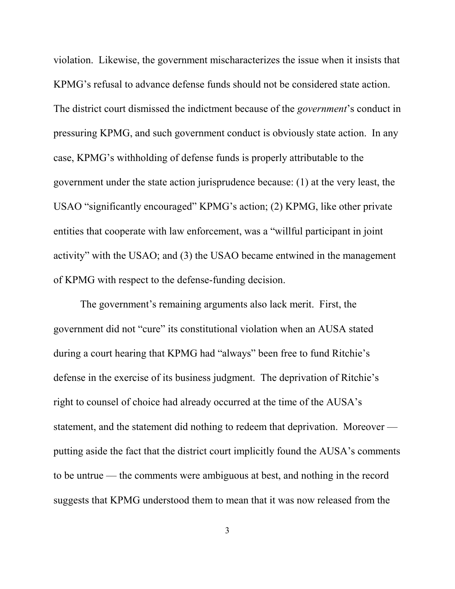violation. Likewise, the government mischaracterizes the issue when it insists that KPMG's refusal to advance defense funds should not be considered state action. The district court dismissed the indictment because of the *government*'s conduct in pressuring KPMG, and such government conduct is obviously state action. In any case, KPMG's withholding of defense funds is properly attributable to the government under the state action jurisprudence because: (1) at the very least, the USAO "significantly encouraged" KPMG's action; (2) KPMG, like other private entities that cooperate with law enforcement, was a "willful participant in joint activity" with the USAO; and (3) the USAO became entwined in the management of KPMG with respect to the defense-funding decision.

The government's remaining arguments also lack merit. First, the government did not "cure" its constitutional violation when an AUSA stated during a court hearing that KPMG had "always" been free to fund Ritchie's defense in the exercise of its business judgment. The deprivation of Ritchie's right to counsel of choice had already occurred at the time of the AUSA's statement, and the statement did nothing to redeem that deprivation. Moreover putting aside the fact that the district court implicitly found the AUSA's comments to be untrue — the comments were ambiguous at best, and nothing in the record suggests that KPMG understood them to mean that it was now released from the

3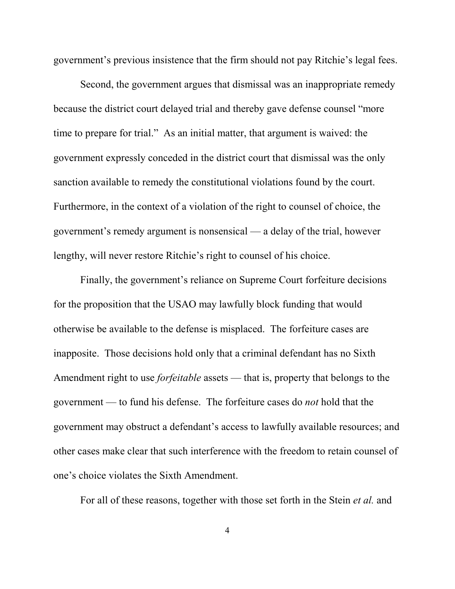government's previous insistence that the firm should not pay Ritchie's legal fees.

Second, the government argues that dismissal was an inappropriate remedy because the district court delayed trial and thereby gave defense counsel "more time to prepare for trial." As an initial matter, that argument is waived: the government expressly conceded in the district court that dismissal was the only sanction available to remedy the constitutional violations found by the court. Furthermore, in the context of a violation of the right to counsel of choice, the government's remedy argument is nonsensical — a delay of the trial, however lengthy, will never restore Ritchie's right to counsel of his choice.

Finally, the government's reliance on Supreme Court forfeiture decisions for the proposition that the USAO may lawfully block funding that would otherwise be available to the defense is misplaced. The forfeiture cases are inapposite. Those decisions hold only that a criminal defendant has no Sixth Amendment right to use *forfeitable* assets — that is, property that belongs to the government — to fund his defense. The forfeiture cases do *not* hold that the government may obstruct a defendant's access to lawfully available resources; and other cases make clear that such interference with the freedom to retain counsel of one's choice violates the Sixth Amendment.

For all of these reasons, together with those set forth in the Stein *et al.* and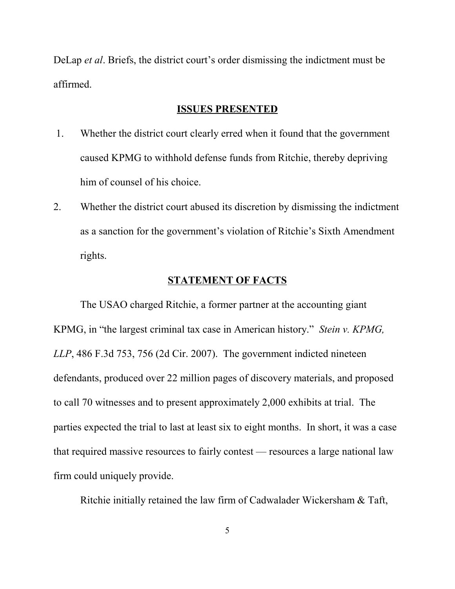DeLap *et al*. Briefs, the district court's order dismissing the indictment must be affirmed.

#### **ISSUES PRESENTED**

- 1. Whether the district court clearly erred when it found that the government caused KPMG to withhold defense funds from Ritchie, thereby depriving him of counsel of his choice.
- 2. Whether the district court abused its discretion by dismissing the indictment as a sanction for the government's violation of Ritchie's Sixth Amendment rights.

#### **STATEMENT OF FACTS**

The USAO charged Ritchie, a former partner at the accounting giant KPMG, in "the largest criminal tax case in American history." *Stein v. KPMG, LLP*, 486 F.3d 753, 756 (2d Cir. 2007). The government indicted nineteen defendants, produced over 22 million pages of discovery materials, and proposed to call 70 witnesses and to present approximately 2,000 exhibits at trial. The parties expected the trial to last at least six to eight months. In short, it was a case that required massive resources to fairly contest — resources a large national law firm could uniquely provide.

Ritchie initially retained the law firm of Cadwalader Wickersham & Taft,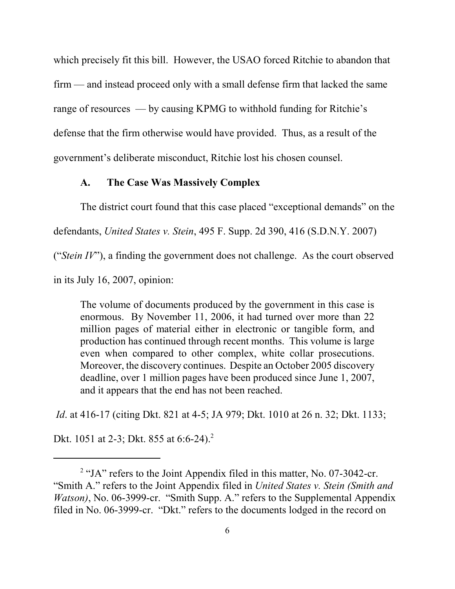which precisely fit this bill. However, the USAO forced Ritchie to abandon that firm — and instead proceed only with a small defense firm that lacked the same range of resources — by causing KPMG to withhold funding for Ritchie's defense that the firm otherwise would have provided. Thus, as a result of the government's deliberate misconduct, Ritchie lost his chosen counsel.

#### **A. The Case Was Massively Complex**

The district court found that this case placed "exceptional demands" on the

defendants, *United States v. Stein*, 495 F. Supp. 2d 390, 416 (S.D.N.Y. 2007)

("*Stein IV*"), a finding the government does not challenge. As the court observed

in its July 16, 2007, opinion:

The volume of documents produced by the government in this case is enormous. By November 11, 2006, it had turned over more than 22 million pages of material either in electronic or tangible form, and production has continued through recent months. This volume is large even when compared to other complex, white collar prosecutions. Moreover, the discovery continues. Despite an October 2005 discovery deadline, over 1 million pages have been produced since June 1, 2007, and it appears that the end has not been reached.

*Id*. at 416-17 (citing Dkt. 821 at 4-5; JA 979; Dkt. 1010 at 26 n. 32; Dkt. 1133;

Dkt. 1051 at 2-3; Dkt. 855 at 6:6-24).<sup>2</sup>

<sup>&</sup>lt;sup>2</sup> "JA" refers to the Joint Appendix filed in this matter, No. 07-3042-cr. "Smith A." refers to the Joint Appendix filed in *United States v. Stein (Smith and Watson*), No. 06-3999-cr. "Smith Supp. A." refers to the Supplemental Appendix filed in No. 06-3999-cr. "Dkt." refers to the documents lodged in the record on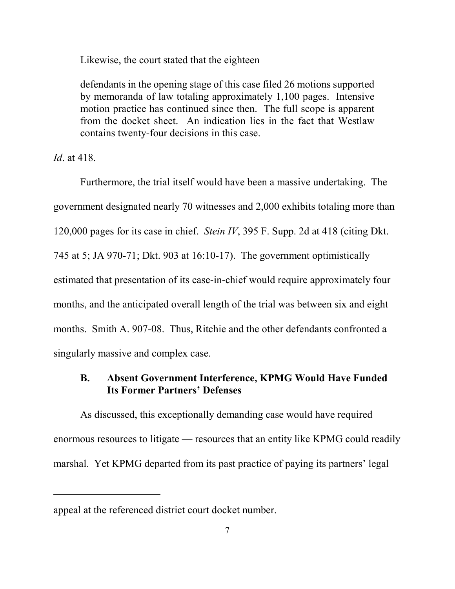Likewise, the court stated that the eighteen

defendants in the opening stage of this case filed 26 motions supported by memoranda of law totaling approximately 1,100 pages. Intensive motion practice has continued since then. The full scope is apparent from the docket sheet. An indication lies in the fact that Westlaw contains twenty-four decisions in this case.

*Id*. at 418.

Furthermore, the trial itself would have been a massive undertaking. The government designated nearly 70 witnesses and 2,000 exhibits totaling more than 120,000 pages for its case in chief. *Stein IV*, 395 F. Supp. 2d at 418 (citing Dkt. 745 at 5; JA 970-71; Dkt. 903 at 16:10-17). The government optimistically estimated that presentation of its case-in-chief would require approximately four months, and the anticipated overall length of the trial was between six and eight months. Smith A. 907-08. Thus, Ritchie and the other defendants confronted a singularly massive and complex case.

## **B. Absent Government Interference, KPMG Would Have Funded Its Former Partners' Defenses**

As discussed, this exceptionally demanding case would have required enormous resources to litigate — resources that an entity like KPMG could readily marshal. Yet KPMG departed from its past practice of paying its partners' legal

appeal at the referenced district court docket number.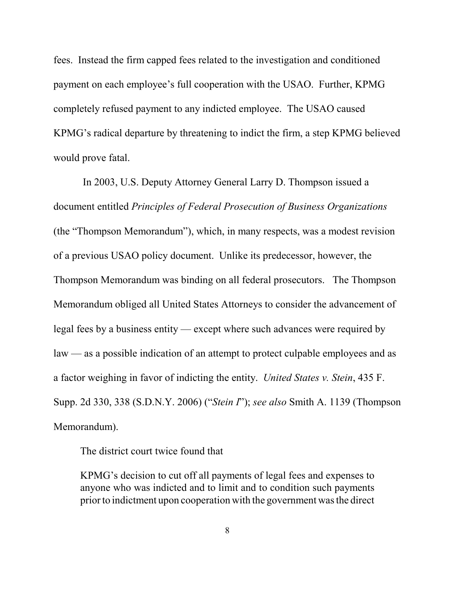fees. Instead the firm capped fees related to the investigation and conditioned payment on each employee's full cooperation with the USAO. Further, KPMG completely refused payment to any indicted employee. The USAO caused KPMG's radical departure by threatening to indict the firm, a step KPMG believed would prove fatal.

 In 2003, U.S. Deputy Attorney General Larry D. Thompson issued a document entitled *Principles of Federal Prosecution of Business Organizations* (the "Thompson Memorandum"), which, in many respects, was a modest revision of a previous USAO policy document. Unlike its predecessor, however, the Thompson Memorandum was binding on all federal prosecutors. The Thompson Memorandum obliged all United States Attorneys to consider the advancement of legal fees by a business entity — except where such advances were required by law — as a possible indication of an attempt to protect culpable employees and as a factor weighing in favor of indicting the entity. *United States v. Stein*, 435 F. Supp. 2d 330, 338 (S.D.N.Y. 2006) ("*Stein I*"); *see also* Smith A. 1139 (Thompson Memorandum).

The district court twice found that

KPMG's decision to cut off all payments of legal fees and expenses to anyone who was indicted and to limit and to condition such payments prior to indictment upon cooperation with the government was the direct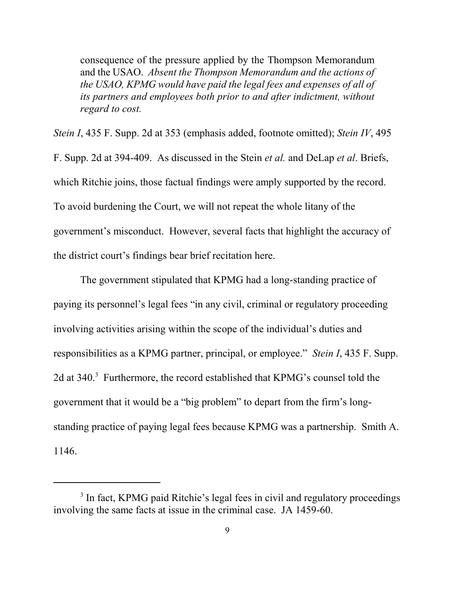consequence of the pressure applied by the Thompson Memorandum and the USAO. *Absent the Thompson Memorandum and the actions of the USAO, KPMG would have paid the legal fees and expenses of all of its partners and employees both prior to and after indictment, without regard to cost.*

*Stein I*, 435 F. Supp. 2d at 353 (emphasis added, footnote omitted); *Stein IV*, 495 F. Supp. 2d at 394-409. As discussed in the Stein *et al.* and DeLap *et al*. Briefs, which Ritchie joins, those factual findings were amply supported by the record. To avoid burdening the Court, we will not repeat the whole litany of the government's misconduct. However, several facts that highlight the accuracy of the district court's findings bear brief recitation here.

The government stipulated that KPMG had a long-standing practice of paying its personnel's legal fees "in any civil, criminal or regulatory proceeding involving activities arising within the scope of the individual's duties and responsibilities as a KPMG partner, principal, or employee." *Stein I*, 435 F. Supp. 2d at 340.<sup>3</sup> Furthermore, the record established that KPMG's counsel told the government that it would be a "big problem" to depart from the firm's longstanding practice of paying legal fees because KPMG was a partnership. Smith A. 1146.

<sup>&</sup>lt;sup>3</sup> In fact, KPMG paid Ritchie's legal fees in civil and regulatory proceedings involving the same facts at issue in the criminal case. JA 1459-60.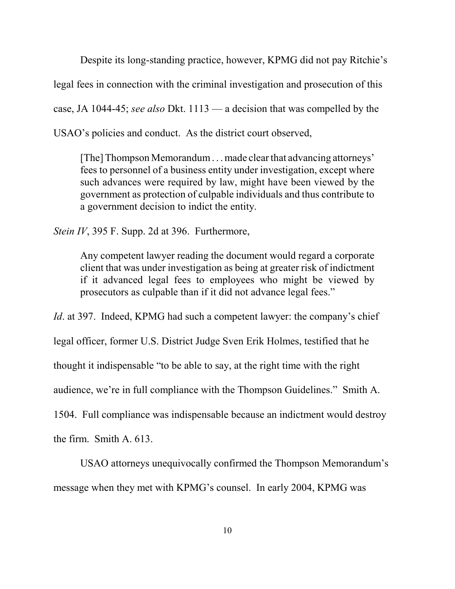Despite its long-standing practice, however, KPMG did not pay Ritchie's

legal fees in connection with the criminal investigation and prosecution of this

case, JA 1044-45; *see also* Dkt. 1113 — a decision that was compelled by the

USAO's policies and conduct. As the district court observed,

[The] Thompson Memorandum . . . made clear that advancing attorneys' fees to personnel of a business entity under investigation, except where such advances were required by law, might have been viewed by the government as protection of culpable individuals and thus contribute to a government decision to indict the entity.

*Stein IV*, 395 F. Supp. 2d at 396. Furthermore,

Any competent lawyer reading the document would regard a corporate client that was under investigation as being at greater risk of indictment if it advanced legal fees to employees who might be viewed by prosecutors as culpable than if it did not advance legal fees."

*Id.* at 397. Indeed, KPMG had such a competent lawyer: the company's chief

legal officer, former U.S. District Judge Sven Erik Holmes, testified that he

thought it indispensable "to be able to say, at the right time with the right

audience, we're in full compliance with the Thompson Guidelines." Smith A.

1504. Full compliance was indispensable because an indictment would destroy

the firm. Smith A. 613.

USAO attorneys unequivocally confirmed the Thompson Memorandum's message when they met with KPMG's counsel. In early 2004, KPMG was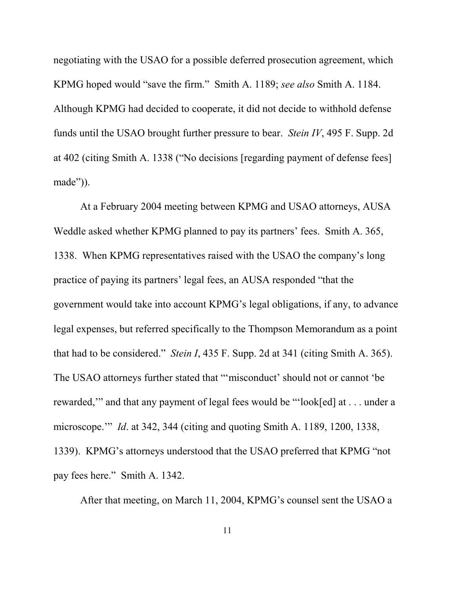negotiating with the USAO for a possible deferred prosecution agreement, which KPMG hoped would "save the firm." Smith A. 1189; *see also* Smith A. 1184. Although KPMG had decided to cooperate, it did not decide to withhold defense funds until the USAO brought further pressure to bear. *Stein IV*, 495 F. Supp. 2d at 402 (citing Smith A. 1338 ("No decisions [regarding payment of defense fees] made")).

At a February 2004 meeting between KPMG and USAO attorneys, AUSA Weddle asked whether KPMG planned to pay its partners' fees. Smith A. 365, 1338. When KPMG representatives raised with the USAO the company's long practice of paying its partners' legal fees, an AUSA responded "that the government would take into account KPMG's legal obligations, if any, to advance legal expenses, but referred specifically to the Thompson Memorandum as a point that had to be considered." *Stein I*, 435 F. Supp. 2d at 341 (citing Smith A. 365). The USAO attorneys further stated that "'misconduct' should not or cannot 'be rewarded,'" and that any payment of legal fees would be "'look[ed] at . . . under a microscope.'" *Id*. at 342, 344 (citing and quoting Smith A. 1189, 1200, 1338, 1339). KPMG's attorneys understood that the USAO preferred that KPMG "not pay fees here." Smith A. 1342.

After that meeting, on March 11, 2004, KPMG's counsel sent the USAO a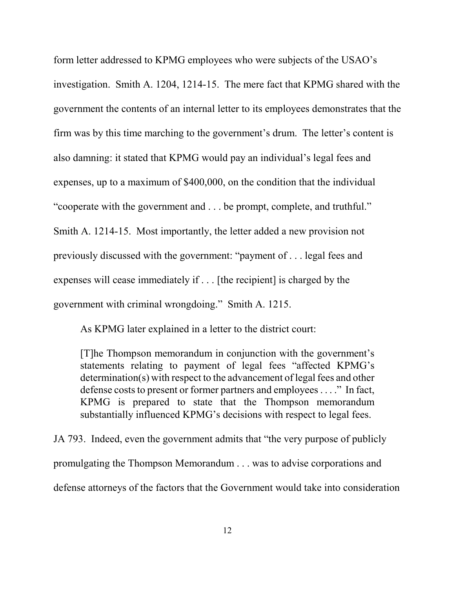form letter addressed to KPMG employees who were subjects of the USAO's investigation. Smith A. 1204, 1214-15. The mere fact that KPMG shared with the government the contents of an internal letter to its employees demonstrates that the firm was by this time marching to the government's drum. The letter's content is also damning: it stated that KPMG would pay an individual's legal fees and expenses, up to a maximum of \$400,000, on the condition that the individual "cooperate with the government and . . . be prompt, complete, and truthful." Smith A. 1214-15. Most importantly, the letter added a new provision not previously discussed with the government: "payment of . . . legal fees and expenses will cease immediately if . . . [the recipient] is charged by the government with criminal wrongdoing." Smith A. 1215.

As KPMG later explained in a letter to the district court:

[T]he Thompson memorandum in conjunction with the government's statements relating to payment of legal fees "affected KPMG's determination(s) with respect to the advancement of legal fees and other defense costs to present or former partners and employees . . . ." In fact, KPMG is prepared to state that the Thompson memorandum substantially influenced KPMG's decisions with respect to legal fees.

JA 793. Indeed, even the government admits that "the very purpose of publicly promulgating the Thompson Memorandum . . . was to advise corporations and defense attorneys of the factors that the Government would take into consideration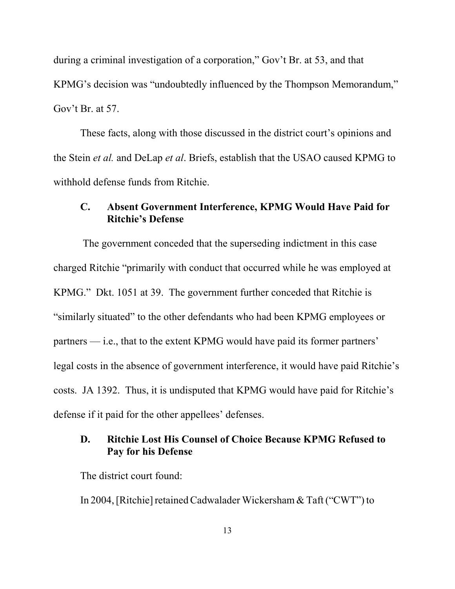during a criminal investigation of a corporation," Gov't Br. at 53, and that KPMG's decision was "undoubtedly influenced by the Thompson Memorandum," Gov't Br. at 57.

These facts, along with those discussed in the district court's opinions and the Stein *et al.* and DeLap *et al*. Briefs, establish that the USAO caused KPMG to withhold defense funds from Ritchie.

#### **C. Absent Government Interference, KPMG Would Have Paid for Ritchie's Defense**

 The government conceded that the superseding indictment in this case charged Ritchie "primarily with conduct that occurred while he was employed at KPMG." Dkt. 1051 at 39. The government further conceded that Ritchie is "similarly situated" to the other defendants who had been KPMG employees or partners — i.e., that to the extent KPMG would have paid its former partners' legal costs in the absence of government interference, it would have paid Ritchie's costs. JA 1392. Thus, it is undisputed that KPMG would have paid for Ritchie's defense if it paid for the other appellees' defenses.

## **D. Ritchie Lost His Counsel of Choice Because KPMG Refused to Pay for his Defense**

The district court found:

In 2004, [Ritchie] retained Cadwalader Wickersham & Taft ("CWT") to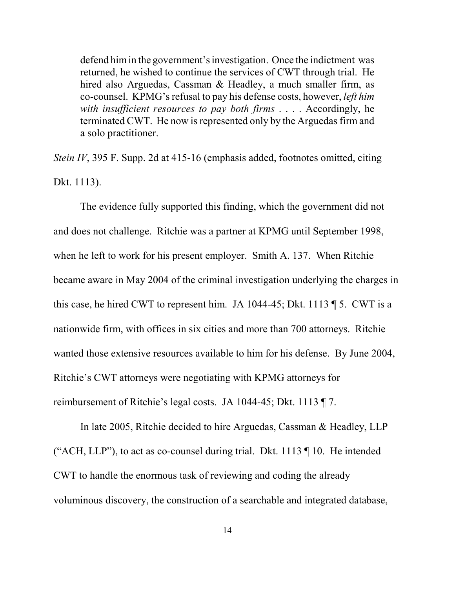defend him in the government's investigation. Once the indictment was returned, he wished to continue the services of CWT through trial. He hired also Arguedas, Cassman & Headley, a much smaller firm, as co-counsel. KPMG's refusal to pay his defense costs, however, *left him with insufficient resources to pay both firms* . . . . Accordingly, he terminated CWT. He now is represented only by the Arguedas firm and a solo practitioner.

*Stein IV*, 395 F. Supp. 2d at 415-16 (emphasis added, footnotes omitted, citing Dkt. 1113).

The evidence fully supported this finding, which the government did not and does not challenge. Ritchie was a partner at KPMG until September 1998, when he left to work for his present employer. Smith A. 137. When Ritchie became aware in May 2004 of the criminal investigation underlying the charges in this case, he hired CWT to represent him. JA 1044-45; Dkt. 1113 ¶ 5. CWT is a nationwide firm, with offices in six cities and more than 700 attorneys. Ritchie wanted those extensive resources available to him for his defense. By June 2004, Ritchie's CWT attorneys were negotiating with KPMG attorneys for reimbursement of Ritchie's legal costs. JA 1044-45; Dkt. 1113 ¶ 7.

In late 2005, Ritchie decided to hire Arguedas, Cassman & Headley, LLP ("ACH, LLP"), to act as co-counsel during trial. Dkt. 1113 ¶ 10. He intended CWT to handle the enormous task of reviewing and coding the already voluminous discovery, the construction of a searchable and integrated database,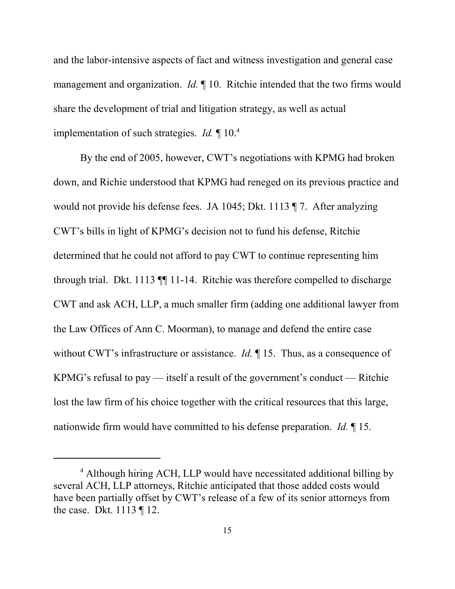and the labor-intensive aspects of fact and witness investigation and general case management and organization. *Id.* ¶ 10. Ritchie intended that the two firms would share the development of trial and litigation strategy, as well as actual implementation of such strategies. *Id.* ¶ 10.4

By the end of 2005, however, CWT's negotiations with KPMG had broken down, and Richie understood that KPMG had reneged on its previous practice and would not provide his defense fees. JA 1045; Dkt. 1113 ¶ 7. After analyzing CWT's bills in light of KPMG's decision not to fund his defense, Ritchie determined that he could not afford to pay CWT to continue representing him through trial. Dkt. 1113 ¶¶ 11-14. Ritchie was therefore compelled to discharge CWT and ask ACH, LLP, a much smaller firm (adding one additional lawyer from the Law Offices of Ann C. Moorman), to manage and defend the entire case without CWT's infrastructure or assistance. *Id.* 15. Thus, as a consequence of KPMG's refusal to pay — itself a result of the government's conduct — Ritchie lost the law firm of his choice together with the critical resources that this large, nationwide firm would have committed to his defense preparation. *Id.* ¶ 15.

<sup>&</sup>lt;sup>4</sup> Although hiring ACH, LLP would have necessitated additional billing by several ACH, LLP attorneys, Ritchie anticipated that those added costs would have been partially offset by CWT's release of a few of its senior attorneys from the case. Dkt. 1113 ¶ 12.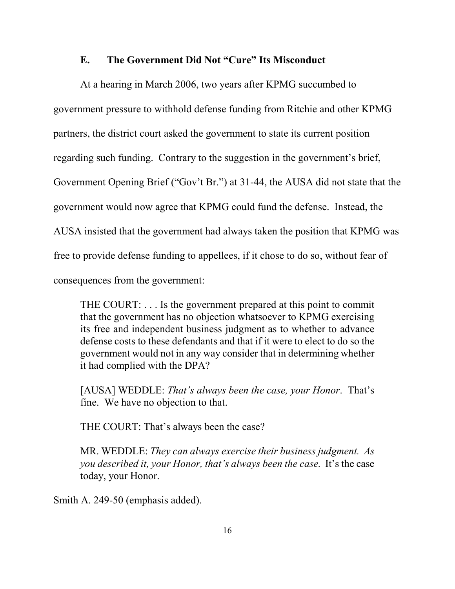#### **E. The Government Did Not "Cure" Its Misconduct**

At a hearing in March 2006, two years after KPMG succumbed to government pressure to withhold defense funding from Ritchie and other KPMG partners, the district court asked the government to state its current position regarding such funding. Contrary to the suggestion in the government's brief, Government Opening Brief ("Gov't Br.") at 31-44, the AUSA did not state that the government would now agree that KPMG could fund the defense. Instead, the AUSA insisted that the government had always taken the position that KPMG was free to provide defense funding to appellees, if it chose to do so, without fear of consequences from the government:

THE COURT: . . . Is the government prepared at this point to commit that the government has no objection whatsoever to KPMG exercising its free and independent business judgment as to whether to advance defense costs to these defendants and that if it were to elect to do so the government would not in any way consider that in determining whether it had complied with the DPA?

[AUSA] WEDDLE: *That's always been the case, your Honor*. That's fine. We have no objection to that.

THE COURT: That's always been the case?

MR. WEDDLE: *They can always exercise their business judgment. As you described it, your Honor, that's always been the case.* It's the case today, your Honor.

Smith A. 249-50 (emphasis added).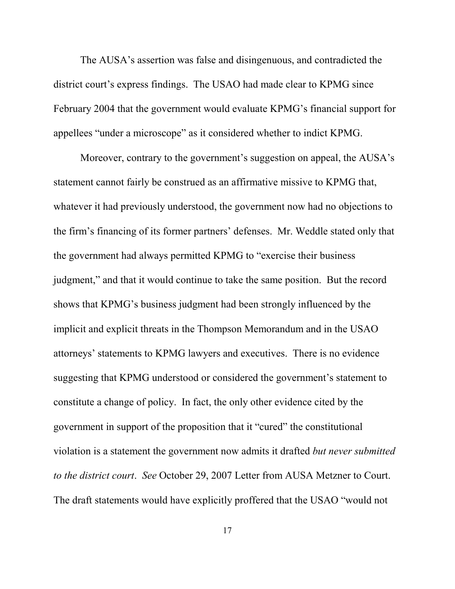The AUSA's assertion was false and disingenuous, and contradicted the district court's express findings. The USAO had made clear to KPMG since February 2004 that the government would evaluate KPMG's financial support for appellees "under a microscope" as it considered whether to indict KPMG.

Moreover, contrary to the government's suggestion on appeal, the AUSA's statement cannot fairly be construed as an affirmative missive to KPMG that, whatever it had previously understood, the government now had no objections to the firm's financing of its former partners' defenses. Mr. Weddle stated only that the government had always permitted KPMG to "exercise their business judgment," and that it would continue to take the same position. But the record shows that KPMG's business judgment had been strongly influenced by the implicit and explicit threats in the Thompson Memorandum and in the USAO attorneys' statements to KPMG lawyers and executives. There is no evidence suggesting that KPMG understood or considered the government's statement to constitute a change of policy. In fact, the only other evidence cited by the government in support of the proposition that it "cured" the constitutional violation is a statement the government now admits it drafted *but never submitted to the district court*. *See* October 29, 2007 Letter from AUSA Metzner to Court. The draft statements would have explicitly proffered that the USAO "would not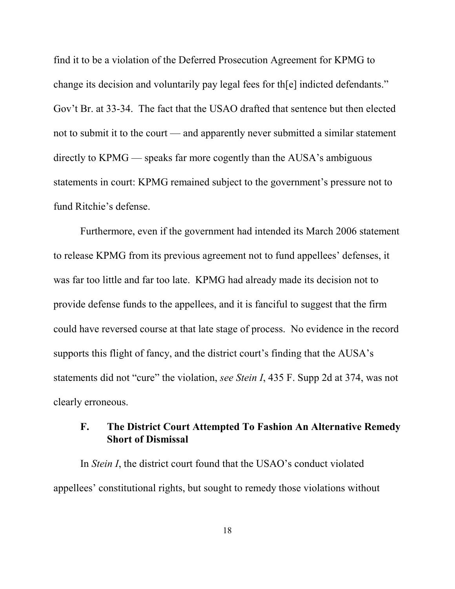find it to be a violation of the Deferred Prosecution Agreement for KPMG to change its decision and voluntarily pay legal fees for th[e] indicted defendants." Gov't Br. at 33-34. The fact that the USAO drafted that sentence but then elected not to submit it to the court — and apparently never submitted a similar statement directly to KPMG — speaks far more cogently than the AUSA's ambiguous statements in court: KPMG remained subject to the government's pressure not to fund Ritchie's defense.

Furthermore, even if the government had intended its March 2006 statement to release KPMG from its previous agreement not to fund appellees' defenses, it was far too little and far too late. KPMG had already made its decision not to provide defense funds to the appellees, and it is fanciful to suggest that the firm could have reversed course at that late stage of process. No evidence in the record supports this flight of fancy, and the district court's finding that the AUSA's statements did not "cure" the violation, *see Stein I*, 435 F. Supp 2d at 374, was not clearly erroneous.

### **F. The District Court Attempted To Fashion An Alternative Remedy Short of Dismissal**

In *Stein I*, the district court found that the USAO's conduct violated appellees' constitutional rights, but sought to remedy those violations without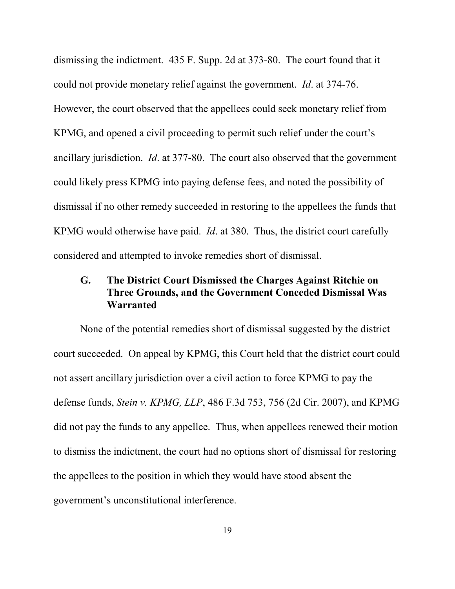dismissing the indictment. 435 F. Supp. 2d at 373-80. The court found that it could not provide monetary relief against the government. *Id*. at 374-76. However, the court observed that the appellees could seek monetary relief from KPMG, and opened a civil proceeding to permit such relief under the court's ancillary jurisdiction. *Id*. at 377-80. The court also observed that the government could likely press KPMG into paying defense fees, and noted the possibility of dismissal if no other remedy succeeded in restoring to the appellees the funds that KPMG would otherwise have paid. *Id*. at 380. Thus, the district court carefully considered and attempted to invoke remedies short of dismissal.

# **G. The District Court Dismissed the Charges Against Ritchie on Three Grounds, and the Government Conceded Dismissal Was Warranted**

None of the potential remedies short of dismissal suggested by the district court succeeded. On appeal by KPMG, this Court held that the district court could not assert ancillary jurisdiction over a civil action to force KPMG to pay the defense funds, *Stein v. KPMG, LLP*, 486 F.3d 753, 756 (2d Cir. 2007), and KPMG did not pay the funds to any appellee. Thus, when appellees renewed their motion to dismiss the indictment, the court had no options short of dismissal for restoring the appellees to the position in which they would have stood absent the government's unconstitutional interference.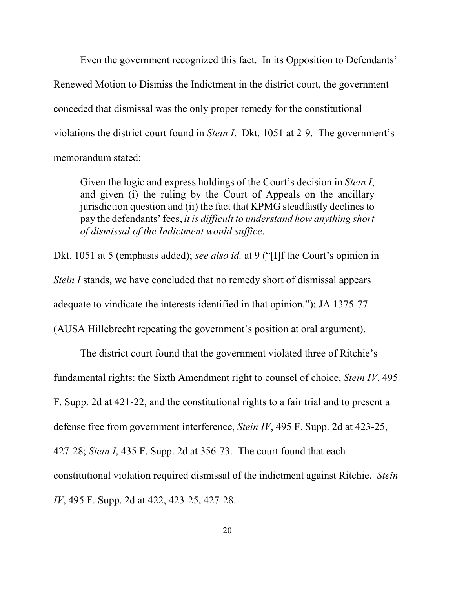Even the government recognized this fact. In its Opposition to Defendants' Renewed Motion to Dismiss the Indictment in the district court, the government conceded that dismissal was the only proper remedy for the constitutional violations the district court found in *Stein I*. Dkt. 1051 at 2-9. The government's memorandum stated:

Given the logic and express holdings of the Court's decision in *Stein I*, and given (i) the ruling by the Court of Appeals on the ancillary jurisdiction question and (ii) the fact that KPMG steadfastly declines to pay the defendants' fees, *it is difficult to understand how anything short of dismissal of the Indictment would suffice*.

Dkt. 1051 at 5 (emphasis added); *see also id.* at 9 ("[I]f the Court's opinion in *Stein I* stands, we have concluded that no remedy short of dismissal appears adequate to vindicate the interests identified in that opinion."); JA 1375-77 (AUSA Hillebrecht repeating the government's position at oral argument).

The district court found that the government violated three of Ritchie's fundamental rights: the Sixth Amendment right to counsel of choice, *Stein IV*, 495 F. Supp. 2d at 421-22, and the constitutional rights to a fair trial and to present a defense free from government interference, *Stein IV*, 495 F. Supp. 2d at 423-25, 427-28; *Stein I*, 435 F. Supp. 2d at 356-73. The court found that each constitutional violation required dismissal of the indictment against Ritchie. *Stein IV*, 495 F. Supp. 2d at 422, 423-25, 427-28.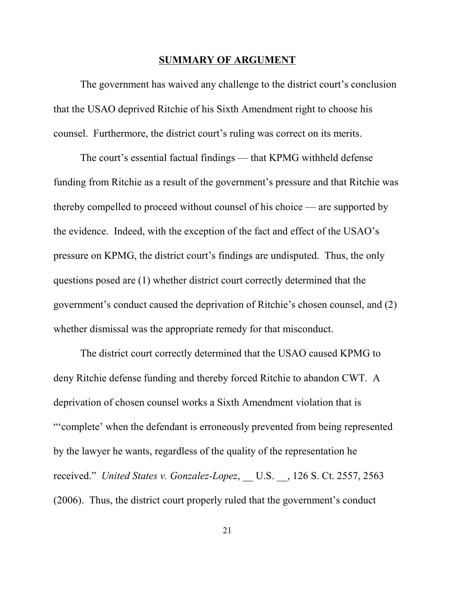#### **SUMMARY OF ARGUMENT**

The government has waived any challenge to the district court's conclusion that the USAO deprived Ritchie of his Sixth Amendment right to choose his counsel. Furthermore, the district court's ruling was correct on its merits.

The court's essential factual findings — that KPMG withheld defense funding from Ritchie as a result of the government's pressure and that Ritchie was thereby compelled to proceed without counsel of his choice — are supported by the evidence. Indeed, with the exception of the fact and effect of the USAO's pressure on KPMG, the district court's findings are undisputed. Thus, the only questions posed are (1) whether district court correctly determined that the government's conduct caused the deprivation of Ritchie's chosen counsel, and (2) whether dismissal was the appropriate remedy for that misconduct.

The district court correctly determined that the USAO caused KPMG to deny Ritchie defense funding and thereby forced Ritchie to abandon CWT. A deprivation of chosen counsel works a Sixth Amendment violation that is "'complete' when the defendant is erroneously prevented from being represented by the lawyer he wants, regardless of the quality of the representation he received." *United States v. Gonzalez-Lopez*, U.S. , 126 S. Ct. 2557, 2563 (2006). Thus, the district court properly ruled that the government's conduct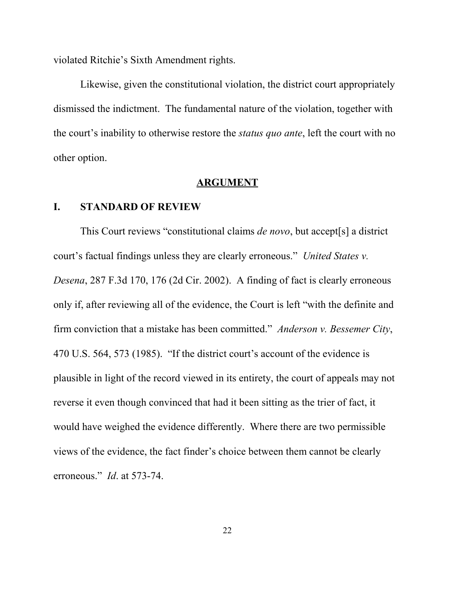violated Ritchie's Sixth Amendment rights.

Likewise, given the constitutional violation, the district court appropriately dismissed the indictment. The fundamental nature of the violation, together with the court's inability to otherwise restore the *status quo ante*, left the court with no other option.

#### **ARGUMENT**

#### **I. STANDARD OF REVIEW**

This Court reviews "constitutional claims *de novo*, but accept[s] a district court's factual findings unless they are clearly erroneous." *United States v. Desena*, 287 F.3d 170, 176 (2d Cir. 2002). A finding of fact is clearly erroneous only if, after reviewing all of the evidence, the Court is left "with the definite and firm conviction that a mistake has been committed." *Anderson v. Bessemer City*, 470 U.S. 564, 573 (1985). "If the district court's account of the evidence is plausible in light of the record viewed in its entirety, the court of appeals may not reverse it even though convinced that had it been sitting as the trier of fact, it would have weighed the evidence differently. Where there are two permissible views of the evidence, the fact finder's choice between them cannot be clearly erroneous." *Id*. at 573-74.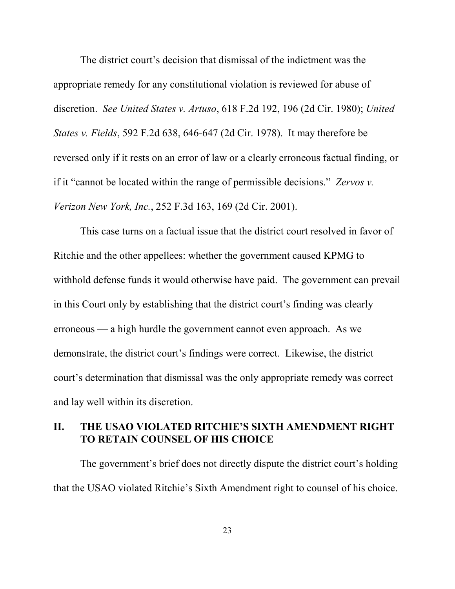The district court's decision that dismissal of the indictment was the appropriate remedy for any constitutional violation is reviewed for abuse of discretion. *See United States v. Artuso*, 618 F.2d 192, 196 (2d Cir. 1980); *United States v. Fields*, 592 F.2d 638, 646-647 (2d Cir. 1978). It may therefore be reversed only if it rests on an error of law or a clearly erroneous factual finding, or if it "cannot be located within the range of permissible decisions." *Zervos v. Verizon New York, Inc.*, 252 F.3d 163, 169 (2d Cir. 2001).

This case turns on a factual issue that the district court resolved in favor of Ritchie and the other appellees: whether the government caused KPMG to withhold defense funds it would otherwise have paid. The government can prevail in this Court only by establishing that the district court's finding was clearly erroneous — a high hurdle the government cannot even approach. As we demonstrate, the district court's findings were correct. Likewise, the district court's determination that dismissal was the only appropriate remedy was correct and lay well within its discretion.

### **II. THE USAO VIOLATED RITCHIE'S SIXTH AMENDMENT RIGHT TO RETAIN COUNSEL OF HIS CHOICE**

The government's brief does not directly dispute the district court's holding that the USAO violated Ritchie's Sixth Amendment right to counsel of his choice.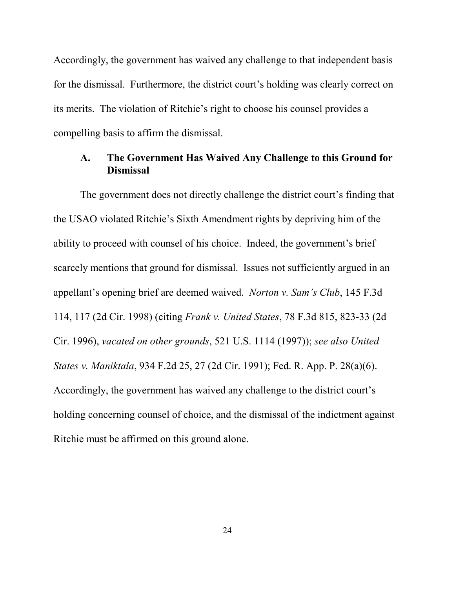Accordingly, the government has waived any challenge to that independent basis for the dismissal. Furthermore, the district court's holding was clearly correct on its merits. The violation of Ritchie's right to choose his counsel provides a compelling basis to affirm the dismissal.

#### **A. The Government Has Waived Any Challenge to this Ground for Dismissal**

The government does not directly challenge the district court's finding that the USAO violated Ritchie's Sixth Amendment rights by depriving him of the ability to proceed with counsel of his choice. Indeed, the government's brief scarcely mentions that ground for dismissal. Issues not sufficiently argued in an appellant's opening brief are deemed waived. *Norton v. Sam's Club*, 145 F.3d 114, 117 (2d Cir. 1998) (citing *Frank v. United States*, 78 F.3d 815, 823-33 (2d Cir. 1996), *vacated on other grounds*, 521 U.S. 1114 (1997)); *see also United States v. Maniktala*, 934 F.2d 25, 27 (2d Cir. 1991); Fed. R. App. P. 28(a)(6). Accordingly, the government has waived any challenge to the district court's holding concerning counsel of choice, and the dismissal of the indictment against Ritchie must be affirmed on this ground alone.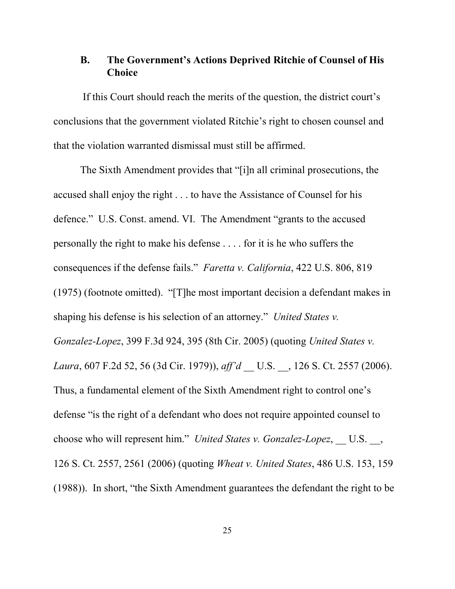#### **B. The Government's Actions Deprived Ritchie of Counsel of His Choice**

 If this Court should reach the merits of the question, the district court's conclusions that the government violated Ritchie's right to chosen counsel and that the violation warranted dismissal must still be affirmed.

The Sixth Amendment provides that "[i]n all criminal prosecutions, the accused shall enjoy the right . . . to have the Assistance of Counsel for his defence." U.S. Const. amend. VI. The Amendment "grants to the accused personally the right to make his defense . . . . for it is he who suffers the consequences if the defense fails." *Faretta v. California*, 422 U.S. 806, 819 (1975) (footnote omitted). "[T]he most important decision a defendant makes in shaping his defense is his selection of an attorney." *United States v. Gonzalez-Lopez*, 399 F.3d 924, 395 (8th Cir. 2005) (quoting *United States v. Laura*, 607 F.2d 52, 56 (3d Cir. 1979)), *aff'd* \_\_ U.S. \_\_, 126 S. Ct. 2557 (2006). Thus, a fundamental element of the Sixth Amendment right to control one's defense "is the right of a defendant who does not require appointed counsel to choose who will represent him." *United States v. Gonzalez-Lopez*, U.S., 126 S. Ct. 2557, 2561 (2006) (quoting *Wheat v. United States*, 486 U.S. 153, 159 (1988)). In short, "the Sixth Amendment guarantees the defendant the right to be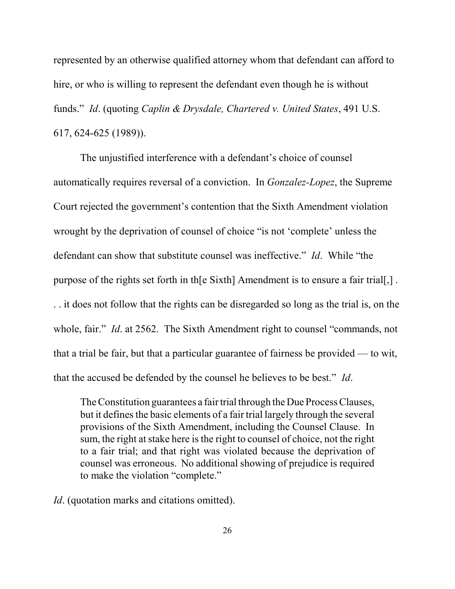represented by an otherwise qualified attorney whom that defendant can afford to hire, or who is willing to represent the defendant even though he is without funds." *Id*. (quoting *Caplin & Drysdale, Chartered v. United States*, 491 U.S. 617, 624-625 (1989)).

The unjustified interference with a defendant's choice of counsel automatically requires reversal of a conviction. In *Gonzalez-Lopez*, the Supreme Court rejected the government's contention that the Sixth Amendment violation wrought by the deprivation of counsel of choice "is not 'complete' unless the defendant can show that substitute counsel was ineffective." *Id*. While "the purpose of the rights set forth in th[e Sixth] Amendment is to ensure a fair trial[,] .

. . it does not follow that the rights can be disregarded so long as the trial is, on the whole, fair." *Id.* at 2562. The Sixth Amendment right to counsel "commands, not that a trial be fair, but that a particular guarantee of fairness be provided — to wit, that the accused be defended by the counsel he believes to be best." *Id*.

The Constitution guarantees a fair trial through the Due Process Clauses, but it defines the basic elements of a fair trial largely through the several provisions of the Sixth Amendment, including the Counsel Clause. In sum, the right at stake here is the right to counsel of choice, not the right to a fair trial; and that right was violated because the deprivation of counsel was erroneous. No additional showing of prejudice is required to make the violation "complete."

*Id.* (quotation marks and citations omitted).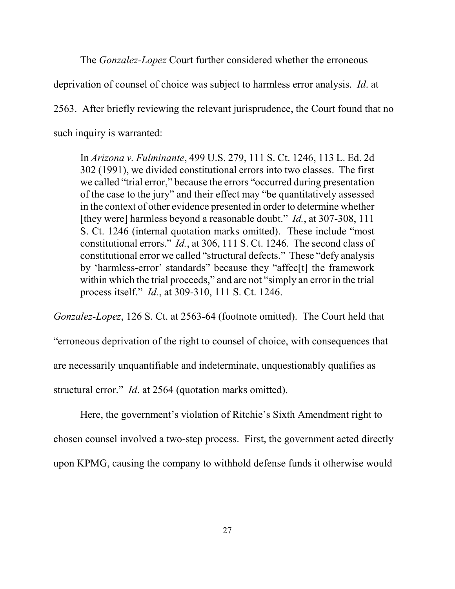The *Gonzalez-Lopez* Court further considered whether the erroneous

deprivation of counsel of choice was subject to harmless error analysis. *Id*. at

2563. After briefly reviewing the relevant jurisprudence, the Court found that no such inquiry is warranted:

In *Arizona v. Fulminante*, 499 U.S. 279, 111 S. Ct. 1246, 113 L. Ed. 2d 302 (1991), we divided constitutional errors into two classes. The first we called "trial error," because the errors "occurred during presentation of the case to the jury" and their effect may "be quantitatively assessed in the context of other evidence presented in order to determine whether [they were] harmless beyond a reasonable doubt." *Id.*, at 307-308, 111 S. Ct. 1246 (internal quotation marks omitted). These include "most constitutional errors." *Id.*, at 306, 111 S. Ct. 1246. The second class of constitutional error we called "structural defects." These "defy analysis by 'harmless-error' standards" because they "affec[t] the framework within which the trial proceeds," and are not "simply an error in the trial process itself." *Id.*, at 309-310, 111 S. Ct. 1246.

*Gonzalez-Lopez*, 126 S. Ct. at 2563-64 (footnote omitted). The Court held that

"erroneous deprivation of the right to counsel of choice, with consequences that

are necessarily unquantifiable and indeterminate, unquestionably qualifies as

structural error." *Id*. at 2564 (quotation marks omitted).

Here, the government's violation of Ritchie's Sixth Amendment right to chosen counsel involved a two-step process. First, the government acted directly upon KPMG, causing the company to withhold defense funds it otherwise would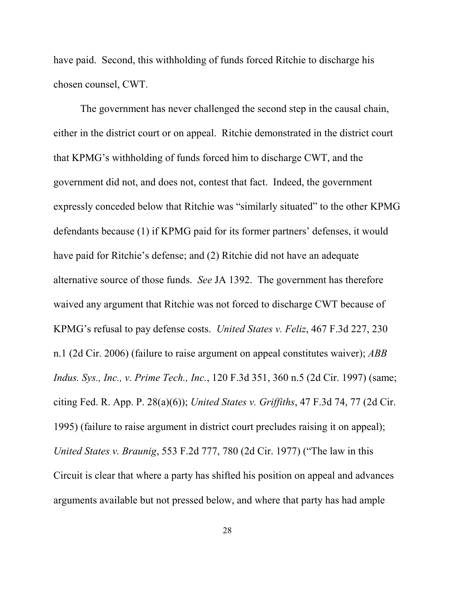have paid. Second, this withholding of funds forced Ritchie to discharge his chosen counsel, CWT.

The government has never challenged the second step in the causal chain, either in the district court or on appeal. Ritchie demonstrated in the district court that KPMG's withholding of funds forced him to discharge CWT, and the government did not, and does not, contest that fact. Indeed, the government expressly conceded below that Ritchie was "similarly situated" to the other KPMG defendants because (1) if KPMG paid for its former partners' defenses, it would have paid for Ritchie's defense; and (2) Ritchie did not have an adequate alternative source of those funds. *See* JA 1392. The government has therefore waived any argument that Ritchie was not forced to discharge CWT because of KPMG's refusal to pay defense costs. *United States v. Feliz*, 467 F.3d 227, 230 n.1 (2d Cir. 2006) (failure to raise argument on appeal constitutes waiver); *ABB Indus. Sys., Inc., v. Prime Tech., Inc.*, 120 F.3d 351, 360 n.5 (2d Cir. 1997) (same; citing Fed. R. App. P. 28(a)(6)); *United States v. Griffiths*, 47 F.3d 74, 77 (2d Cir. 1995) (failure to raise argument in district court precludes raising it on appeal); *United States v. Braunig*, 553 F.2d 777, 780 (2d Cir. 1977) ("The law in this Circuit is clear that where a party has shifted his position on appeal and advances arguments available but not pressed below, and where that party has had ample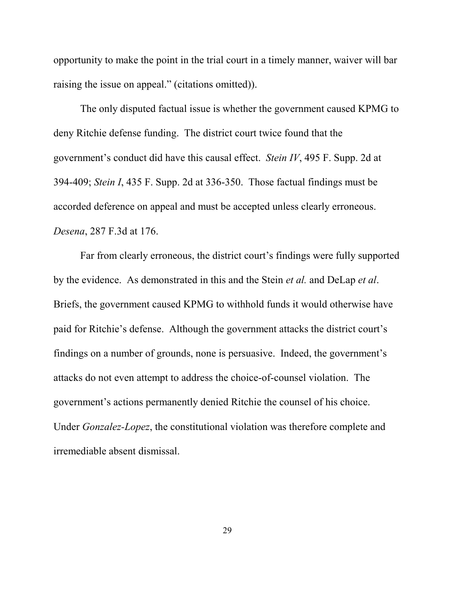opportunity to make the point in the trial court in a timely manner, waiver will bar raising the issue on appeal." (citations omitted)).

The only disputed factual issue is whether the government caused KPMG to deny Ritchie defense funding. The district court twice found that the government's conduct did have this causal effect. *Stein IV*, 495 F. Supp. 2d at 394-409; *Stein I*, 435 F. Supp. 2d at 336-350. Those factual findings must be accorded deference on appeal and must be accepted unless clearly erroneous. *Desena*, 287 F.3d at 176.

Far from clearly erroneous, the district court's findings were fully supported by the evidence. As demonstrated in this and the Stein *et al.* and DeLap *et al*. Briefs, the government caused KPMG to withhold funds it would otherwise have paid for Ritchie's defense. Although the government attacks the district court's findings on a number of grounds, none is persuasive. Indeed, the government's attacks do not even attempt to address the choice-of-counsel violation. The government's actions permanently denied Ritchie the counsel of his choice. Under *Gonzalez-Lopez*, the constitutional violation was therefore complete and irremediable absent dismissal.

29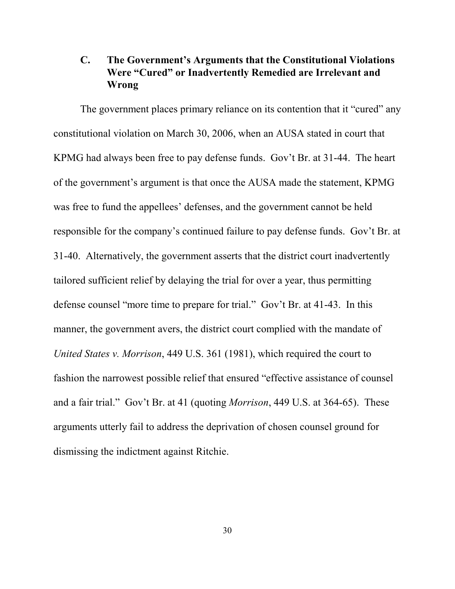# **C. The Government's Arguments that the Constitutional Violations Were "Cured" or Inadvertently Remedied are Irrelevant and Wrong**

The government places primary reliance on its contention that it "cured" any constitutional violation on March 30, 2006, when an AUSA stated in court that KPMG had always been free to pay defense funds. Gov't Br. at 31-44. The heart of the government's argument is that once the AUSA made the statement, KPMG was free to fund the appellees' defenses, and the government cannot be held responsible for the company's continued failure to pay defense funds. Gov't Br. at 31-40. Alternatively, the government asserts that the district court inadvertently tailored sufficient relief by delaying the trial for over a year, thus permitting defense counsel "more time to prepare for trial." Gov't Br. at 41-43. In this manner, the government avers, the district court complied with the mandate of *United States v. Morrison*, 449 U.S. 361 (1981), which required the court to fashion the narrowest possible relief that ensured "effective assistance of counsel and a fair trial." Gov't Br. at 41 (quoting *Morrison*, 449 U.S. at 364-65). These arguments utterly fail to address the deprivation of chosen counsel ground for dismissing the indictment against Ritchie.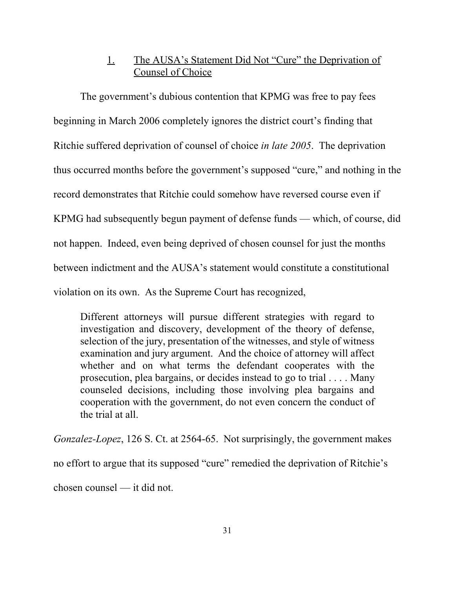# 1. The AUSA's Statement Did Not "Cure" the Deprivation of Counsel of Choice

The government's dubious contention that KPMG was free to pay fees beginning in March 2006 completely ignores the district court's finding that Ritchie suffered deprivation of counsel of choice *in late 2005*. The deprivation thus occurred months before the government's supposed "cure," and nothing in the record demonstrates that Ritchie could somehow have reversed course even if KPMG had subsequently begun payment of defense funds — which, of course, did not happen. Indeed, even being deprived of chosen counsel for just the months between indictment and the AUSA's statement would constitute a constitutional violation on its own. As the Supreme Court has recognized,

Different attorneys will pursue different strategies with regard to investigation and discovery, development of the theory of defense, selection of the jury, presentation of the witnesses, and style of witness examination and jury argument. And the choice of attorney will affect whether and on what terms the defendant cooperates with the prosecution, plea bargains, or decides instead to go to trial . . . . Many counseled decisions, including those involving plea bargains and cooperation with the government, do not even concern the conduct of the trial at all.

*Gonzalez-Lopez*, 126 S. Ct. at 2564-65. Not surprisingly, the government makes no effort to argue that its supposed "cure" remedied the deprivation of Ritchie's chosen counsel — it did not.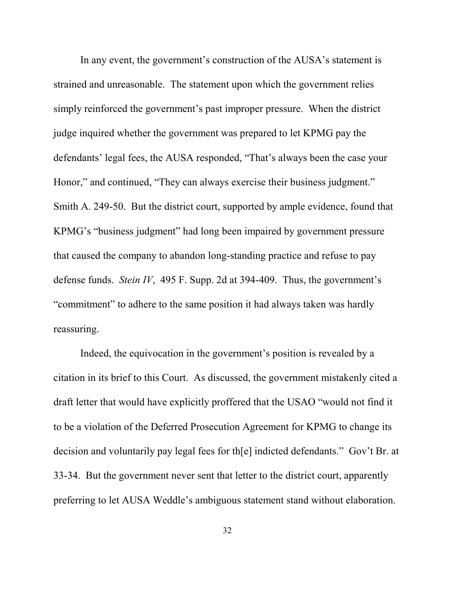In any event, the government's construction of the AUSA's statement is strained and unreasonable. The statement upon which the government relies simply reinforced the government's past improper pressure. When the district judge inquired whether the government was prepared to let KPMG pay the defendants' legal fees, the AUSA responded, "That's always been the case your Honor," and continued, "They can always exercise their business judgment." Smith A. 249-50. But the district court, supported by ample evidence, found that KPMG's "business judgment" had long been impaired by government pressure that caused the company to abandon long-standing practice and refuse to pay defense funds. *Stein IV*, 495 F. Supp. 2d at 394-409. Thus, the government's "commitment" to adhere to the same position it had always taken was hardly reassuring.

Indeed, the equivocation in the government's position is revealed by a citation in its brief to this Court. As discussed, the government mistakenly cited a draft letter that would have explicitly proffered that the USAO "would not find it to be a violation of the Deferred Prosecution Agreement for KPMG to change its decision and voluntarily pay legal fees for th[e] indicted defendants." Gov't Br. at 33-34. But the government never sent that letter to the district court, apparently preferring to let AUSA Weddle's ambiguous statement stand without elaboration.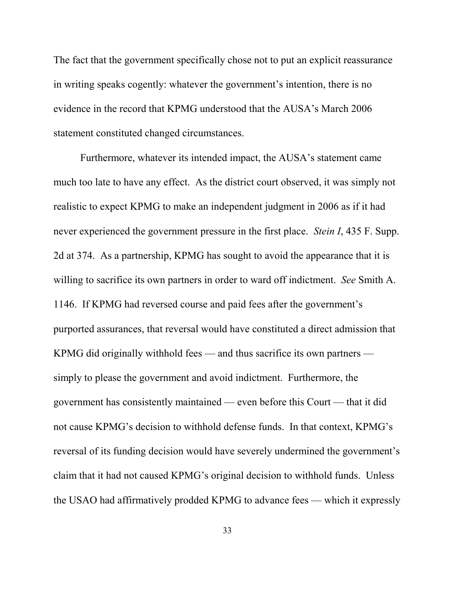The fact that the government specifically chose not to put an explicit reassurance in writing speaks cogently: whatever the government's intention, there is no evidence in the record that KPMG understood that the AUSA's March 2006 statement constituted changed circumstances.

Furthermore, whatever its intended impact, the AUSA's statement came much too late to have any effect. As the district court observed, it was simply not realistic to expect KPMG to make an independent judgment in 2006 as if it had never experienced the government pressure in the first place. *Stein I*, 435 F. Supp. 2d at 374. As a partnership, KPMG has sought to avoid the appearance that it is willing to sacrifice its own partners in order to ward off indictment. *See* Smith A. 1146. If KPMG had reversed course and paid fees after the government's purported assurances, that reversal would have constituted a direct admission that KPMG did originally withhold fees — and thus sacrifice its own partners simply to please the government and avoid indictment. Furthermore, the government has consistently maintained — even before this Court — that it did not cause KPMG's decision to withhold defense funds. In that context, KPMG's reversal of its funding decision would have severely undermined the government's claim that it had not caused KPMG's original decision to withhold funds. Unless the USAO had affirmatively prodded KPMG to advance fees — which it expressly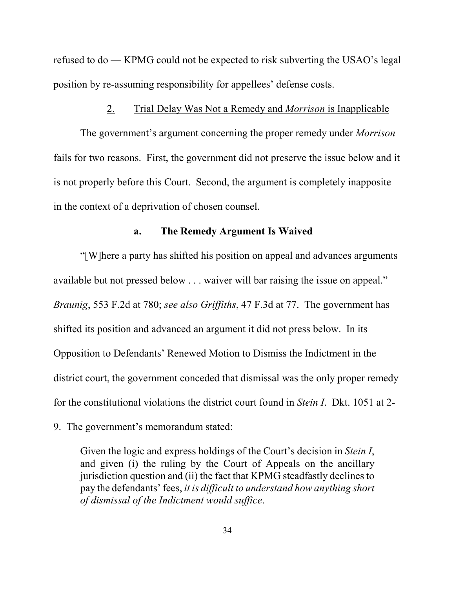refused to do — KPMG could not be expected to risk subverting the USAO's legal position by re-assuming responsibility for appellees' defense costs.

#### 2. Trial Delay Was Not a Remedy and *Morrison* is Inapplicable

The government's argument concerning the proper remedy under *Morrison* fails for two reasons. First, the government did not preserve the issue below and it is not properly before this Court. Second, the argument is completely inapposite in the context of a deprivation of chosen counsel.

#### **a. The Remedy Argument Is Waived**

"[W]here a party has shifted his position on appeal and advances arguments available but not pressed below . . . waiver will bar raising the issue on appeal." *Braunig*, 553 F.2d at 780; *see also Griffiths*, 47 F.3d at 77. The government has shifted its position and advanced an argument it did not press below. In its Opposition to Defendants' Renewed Motion to Dismiss the Indictment in the district court, the government conceded that dismissal was the only proper remedy for the constitutional violations the district court found in *Stein I*. Dkt. 1051 at 2-

9. The government's memorandum stated:

Given the logic and express holdings of the Court's decision in *Stein I*, and given (i) the ruling by the Court of Appeals on the ancillary jurisdiction question and (ii) the fact that KPMG steadfastly declines to pay the defendants' fees, *it is difficult to understand how anything short of dismissal of the Indictment would suffice*.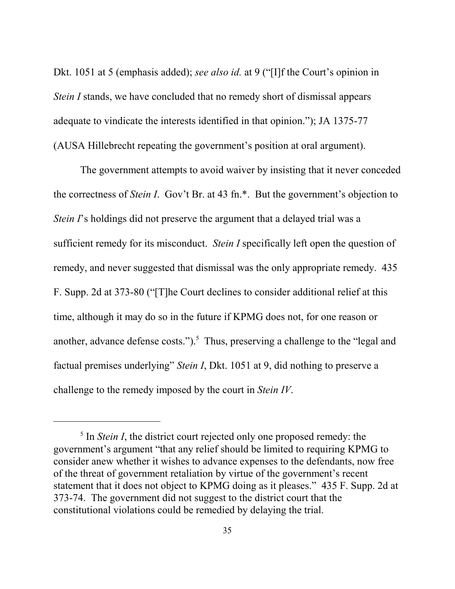Dkt. 1051 at 5 (emphasis added); *see also id.* at 9 ("[I]f the Court's opinion in *Stein I* stands, we have concluded that no remedy short of dismissal appears adequate to vindicate the interests identified in that opinion."); JA 1375-77 (AUSA Hillebrecht repeating the government's position at oral argument).

The government attempts to avoid waiver by insisting that it never conceded the correctness of *Stein I*. Gov't Br. at 43 fn.\*. But the government's objection to *Stein I*'s holdings did not preserve the argument that a delayed trial was a sufficient remedy for its misconduct. *Stein I* specifically left open the question of remedy, and never suggested that dismissal was the only appropriate remedy. 435 F. Supp. 2d at 373-80 ("[T]he Court declines to consider additional relief at this time, although it may do so in the future if KPMG does not, for one reason or another, advance defense costs." $)$ .<sup>5</sup> Thus, preserving a challenge to the "legal and factual premises underlying" *Stein I*, Dkt. 1051 at 9, did nothing to preserve a challenge to the remedy imposed by the court in *Stein IV*.

<sup>&</sup>lt;sup>5</sup> In *Stein I*, the district court rejected only one proposed remedy: the government's argument "that any relief should be limited to requiring KPMG to consider anew whether it wishes to advance expenses to the defendants, now free of the threat of government retaliation by virtue of the government's recent statement that it does not object to KPMG doing as it pleases." 435 F. Supp. 2d at 373-74. The government did not suggest to the district court that the constitutional violations could be remedied by delaying the trial.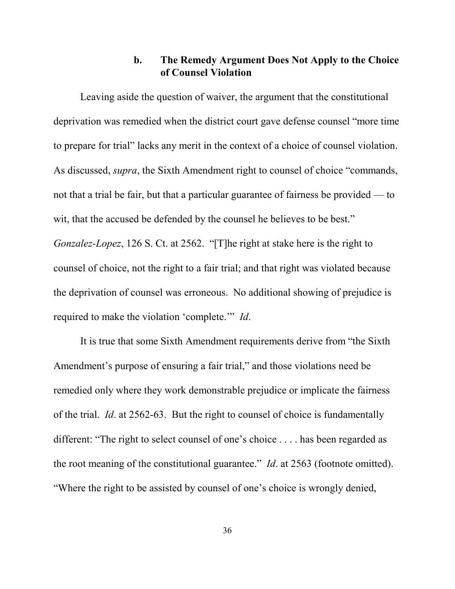## **b. The Remedy Argument Does Not Apply to the Choice of Counsel Violation**

Leaving aside the question of waiver, the argument that the constitutional deprivation was remedied when the district court gave defense counsel "more time to prepare for trial" lacks any merit in the context of a choice of counsel violation. As discussed, *supra*, the Sixth Amendment right to counsel of choice "commands, not that a trial be fair, but that a particular guarantee of fairness be provided — to wit, that the accused be defended by the counsel he believes to be best." *Gonzalez-Lopez*, 126 S. Ct. at 2562. "[T]he right at stake here is the right to counsel of choice, not the right to a fair trial; and that right was violated because the deprivation of counsel was erroneous. No additional showing of prejudice is required to make the violation 'complete.'" *Id*.

It is true that some Sixth Amendment requirements derive from "the Sixth Amendment's purpose of ensuring a fair trial," and those violations need be remedied only where they work demonstrable prejudice or implicate the fairness of the trial. *Id*. at 2562-63. But the right to counsel of choice is fundamentally different: "The right to select counsel of one's choice . . . . has been regarded as the root meaning of the constitutional guarantee." *Id*. at 2563 (footnote omitted). "Where the right to be assisted by counsel of one's choice is wrongly denied,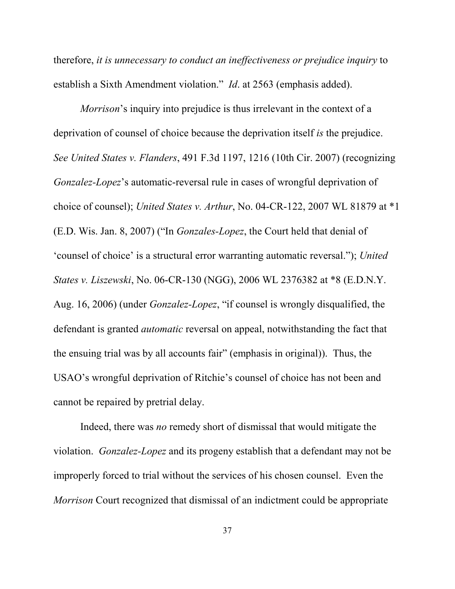therefore, *it is unnecessary to conduct an ineffectiveness or prejudice inquiry* to establish a Sixth Amendment violation." *Id*. at 2563 (emphasis added).

*Morrison*'s inquiry into prejudice is thus irrelevant in the context of a deprivation of counsel of choice because the deprivation itself *is* the prejudice. *See United States v. Flanders*, 491 F.3d 1197, 1216 (10th Cir. 2007) (recognizing *Gonzalez-Lopez*'s automatic-reversal rule in cases of wrongful deprivation of choice of counsel); *United States v. Arthur*, No. 04-CR-122, 2007 WL 81879 at \*1 (E.D. Wis. Jan. 8, 2007) ("In *Gonzales-Lopez*, the Court held that denial of 'counsel of choice' is a structural error warranting automatic reversal."); *United States v. Liszewski*, No. 06-CR-130 (NGG), 2006 WL 2376382 at \*8 (E.D.N.Y. Aug. 16, 2006) (under *Gonzalez-Lopez*, "if counsel is wrongly disqualified, the defendant is granted *automatic* reversal on appeal, notwithstanding the fact that the ensuing trial was by all accounts fair" (emphasis in original)). Thus, the USAO's wrongful deprivation of Ritchie's counsel of choice has not been and cannot be repaired by pretrial delay.

Indeed, there was *no* remedy short of dismissal that would mitigate the violation. *Gonzalez-Lopez* and its progeny establish that a defendant may not be improperly forced to trial without the services of his chosen counsel. Even the *Morrison* Court recognized that dismissal of an indictment could be appropriate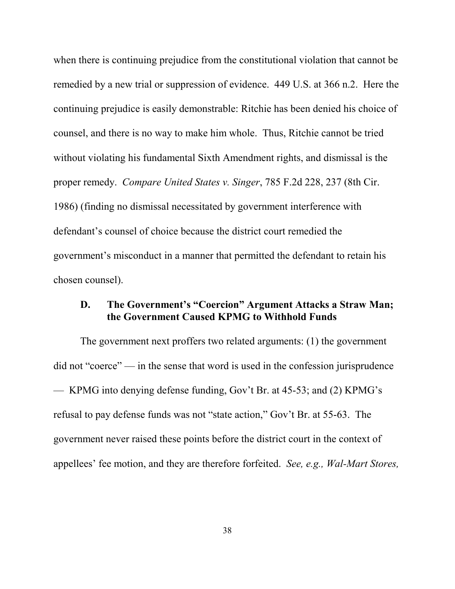when there is continuing prejudice from the constitutional violation that cannot be remedied by a new trial or suppression of evidence. 449 U.S. at 366 n.2. Here the continuing prejudice is easily demonstrable: Ritchie has been denied his choice of counsel, and there is no way to make him whole. Thus, Ritchie cannot be tried without violating his fundamental Sixth Amendment rights, and dismissal is the proper remedy. *Compare United States v. Singer*, 785 F.2d 228, 237 (8th Cir. 1986) (finding no dismissal necessitated by government interference with defendant's counsel of choice because the district court remedied the government's misconduct in a manner that permitted the defendant to retain his chosen counsel).

### **D. The Government's "Coercion" Argument Attacks a Straw Man; the Government Caused KPMG to Withhold Funds**

The government next proffers two related arguments: (1) the government did not "coerce" — in the sense that word is used in the confession jurisprudence — KPMG into denying defense funding, Gov't Br. at 45-53; and (2) KPMG's refusal to pay defense funds was not "state action," Gov't Br. at 55-63. The government never raised these points before the district court in the context of appellees' fee motion, and they are therefore forfeited. *See, e.g., Wal-Mart Stores,*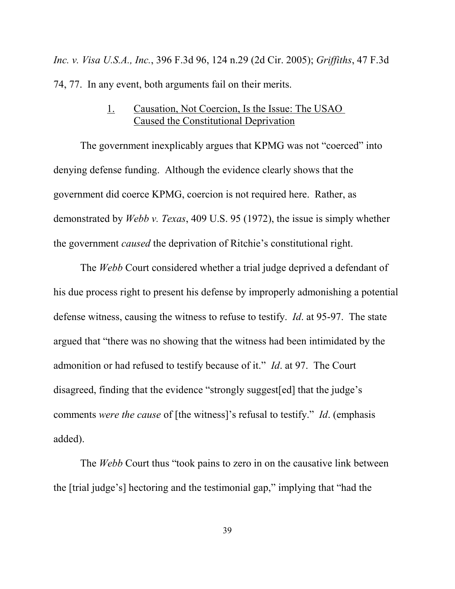*Inc. v. Visa U.S.A., Inc.*, 396 F.3d 96, 124 n.29 (2d Cir. 2005); *Griffiths*, 47 F.3d 74, 77. In any event, both arguments fail on their merits.

## 1. Causation, Not Coercion, Is the Issue: The USAO Caused the Constitutional Deprivation

The government inexplicably argues that KPMG was not "coerced" into denying defense funding. Although the evidence clearly shows that the government did coerce KPMG, coercion is not required here. Rather, as demonstrated by *Webb v. Texas*, 409 U.S. 95 (1972), the issue is simply whether the government *caused* the deprivation of Ritchie's constitutional right.

The *Webb* Court considered whether a trial judge deprived a defendant of his due process right to present his defense by improperly admonishing a potential defense witness, causing the witness to refuse to testify. *Id*. at 95-97. The state argued that "there was no showing that the witness had been intimidated by the admonition or had refused to testify because of it." *Id*. at 97. The Court disagreed, finding that the evidence "strongly suggest[ed] that the judge's comments *were the cause* of [the witness]'s refusal to testify." *Id*. (emphasis added).

The *Webb* Court thus "took pains to zero in on the causative link between the [trial judge's] hectoring and the testimonial gap," implying that "had the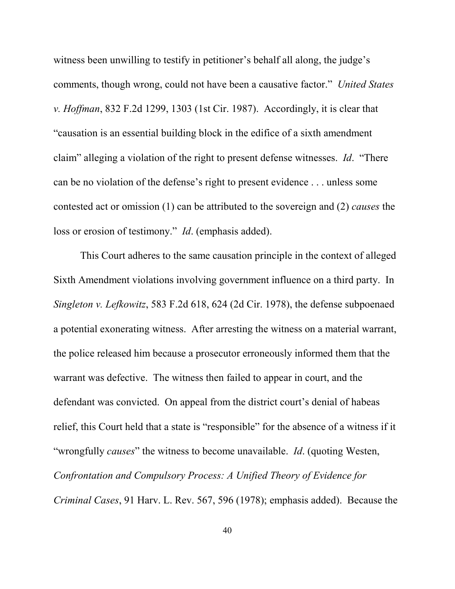witness been unwilling to testify in petitioner's behalf all along, the judge's comments, though wrong, could not have been a causative factor." *United States v. Hoffman*, 832 F.2d 1299, 1303 (1st Cir. 1987). Accordingly, it is clear that "causation is an essential building block in the edifice of a sixth amendment claim" alleging a violation of the right to present defense witnesses. *Id*. "There can be no violation of the defense's right to present evidence . . . unless some contested act or omission (1) can be attributed to the sovereign and (2) *causes* the loss or erosion of testimony." *Id*. (emphasis added).

This Court adheres to the same causation principle in the context of alleged Sixth Amendment violations involving government influence on a third party. In *Singleton v. Lefkowitz*, 583 F.2d 618, 624 (2d Cir. 1978), the defense subpoenaed a potential exonerating witness. After arresting the witness on a material warrant, the police released him because a prosecutor erroneously informed them that the warrant was defective. The witness then failed to appear in court, and the defendant was convicted. On appeal from the district court's denial of habeas relief, this Court held that a state is "responsible" for the absence of a witness if it "wrongfully *causes*" the witness to become unavailable. *Id*. (quoting Westen, *Confrontation and Compulsory Process: A Unified Theory of Evidence for Criminal Cases*, 91 Harv. L. Rev. 567, 596 (1978); emphasis added). Because the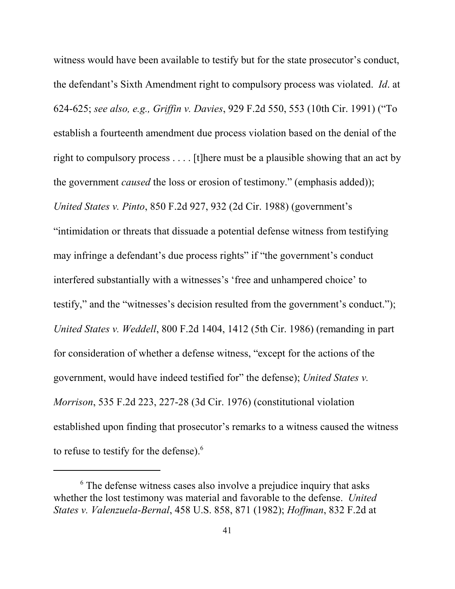witness would have been available to testify but for the state prosecutor's conduct, the defendant's Sixth Amendment right to compulsory process was violated. *Id*. at 624-625; *see also, e.g., Griffin v. Davies*, 929 F.2d 550, 553 (10th Cir. 1991) ("To establish a fourteenth amendment due process violation based on the denial of the right to compulsory process . . . . [t]here must be a plausible showing that an act by the government *caused* the loss or erosion of testimony." (emphasis added)); *United States v. Pinto*, 850 F.2d 927, 932 (2d Cir. 1988) (government's "intimidation or threats that dissuade a potential defense witness from testifying may infringe a defendant's due process rights" if "the government's conduct interfered substantially with a witnesses's 'free and unhampered choice' to testify," and the "witnesses's decision resulted from the government's conduct."); *United States v. Weddell*, 800 F.2d 1404, 1412 (5th Cir. 1986) (remanding in part for consideration of whether a defense witness, "except for the actions of the government, would have indeed testified for" the defense); *United States v. Morrison*, 535 F.2d 223, 227-28 (3d Cir. 1976) (constitutional violation established upon finding that prosecutor's remarks to a witness caused the witness to refuse to testify for the defense).<sup>6</sup>

<sup>&</sup>lt;sup>6</sup> The defense witness cases also involve a prejudice inquiry that asks whether the lost testimony was material and favorable to the defense. *United States v. Valenzuela-Bernal*, 458 U.S. 858, 871 (1982); *Hoffman*, 832 F.2d at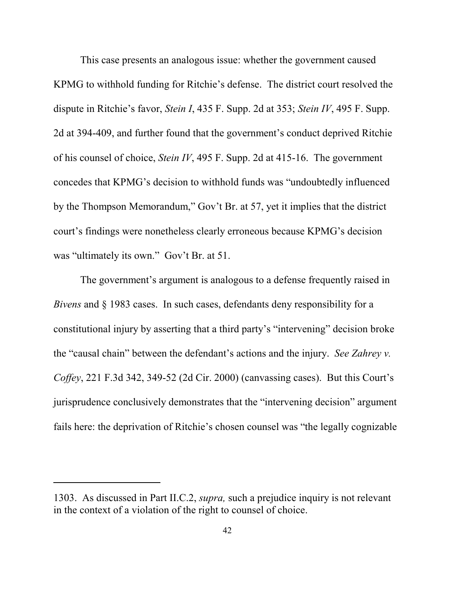This case presents an analogous issue: whether the government caused KPMG to withhold funding for Ritchie's defense. The district court resolved the dispute in Ritchie's favor, *Stein I*, 435 F. Supp. 2d at 353; *Stein IV*, 495 F. Supp. 2d at 394-409, and further found that the government's conduct deprived Ritchie of his counsel of choice, *Stein IV*, 495 F. Supp. 2d at 415-16. The government concedes that KPMG's decision to withhold funds was "undoubtedly influenced by the Thompson Memorandum," Gov't Br. at 57, yet it implies that the district court's findings were nonetheless clearly erroneous because KPMG's decision was "ultimately its own." Gov't Br. at 51.

The government's argument is analogous to a defense frequently raised in *Bivens* and § 1983 cases. In such cases, defendants deny responsibility for a constitutional injury by asserting that a third party's "intervening" decision broke the "causal chain" between the defendant's actions and the injury. *See Zahrey v. Coffey*, 221 F.3d 342, 349-52 (2d Cir. 2000) (canvassing cases). But this Court's jurisprudence conclusively demonstrates that the "intervening decision" argument fails here: the deprivation of Ritchie's chosen counsel was "the legally cognizable

<sup>1303.</sup> As discussed in Part II.C.2, *supra,* such a prejudice inquiry is not relevant in the context of a violation of the right to counsel of choice.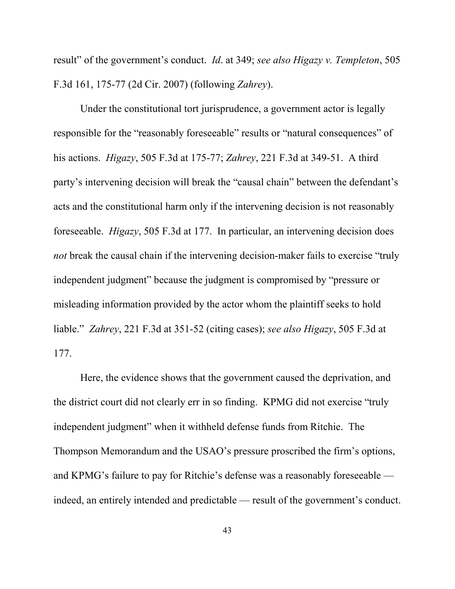result" of the government's conduct. *Id*. at 349; *see also Higazy v. Templeton*, 505 F.3d 161, 175-77 (2d Cir. 2007) (following *Zahrey*).

Under the constitutional tort jurisprudence, a government actor is legally responsible for the "reasonably foreseeable" results or "natural consequences" of his actions. *Higazy*, 505 F.3d at 175-77; *Zahrey*, 221 F.3d at 349-51. A third party's intervening decision will break the "causal chain" between the defendant's acts and the constitutional harm only if the intervening decision is not reasonably foreseeable. *Higazy*, 505 F.3d at 177. In particular, an intervening decision does *not* break the causal chain if the intervening decision-maker fails to exercise "truly independent judgment" because the judgment is compromised by "pressure or misleading information provided by the actor whom the plaintiff seeks to hold liable." *Zahrey*, 221 F.3d at 351-52 (citing cases); *see also Higazy*, 505 F.3d at 177.

Here, the evidence shows that the government caused the deprivation, and the district court did not clearly err in so finding. KPMG did not exercise "truly independent judgment" when it withheld defense funds from Ritchie. The Thompson Memorandum and the USAO's pressure proscribed the firm's options, and KPMG's failure to pay for Ritchie's defense was a reasonably foreseeable indeed, an entirely intended and predictable — result of the government's conduct.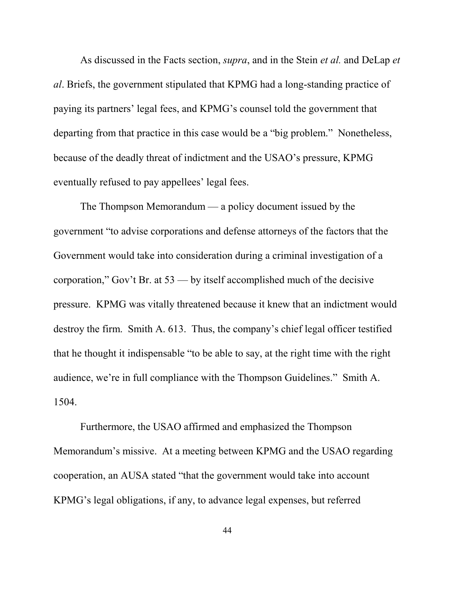As discussed in the Facts section, *supra*, and in the Stein *et al.* and DeLap *et al*. Briefs, the government stipulated that KPMG had a long-standing practice of paying its partners' legal fees, and KPMG's counsel told the government that departing from that practice in this case would be a "big problem." Nonetheless, because of the deadly threat of indictment and the USAO's pressure, KPMG eventually refused to pay appellees' legal fees.

The Thompson Memorandum — a policy document issued by the government "to advise corporations and defense attorneys of the factors that the Government would take into consideration during a criminal investigation of a corporation," Gov't Br. at 53 — by itself accomplished much of the decisive pressure. KPMG was vitally threatened because it knew that an indictment would destroy the firm. Smith A. 613. Thus, the company's chief legal officer testified that he thought it indispensable "to be able to say, at the right time with the right audience, we're in full compliance with the Thompson Guidelines." Smith A. 1504.

Furthermore, the USAO affirmed and emphasized the Thompson Memorandum's missive. At a meeting between KPMG and the USAO regarding cooperation, an AUSA stated "that the government would take into account KPMG's legal obligations, if any, to advance legal expenses, but referred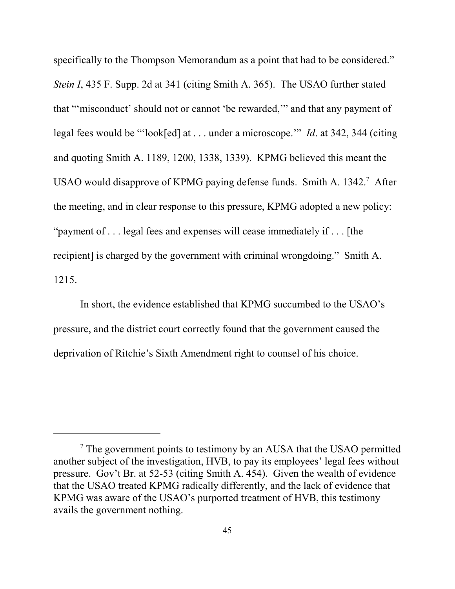specifically to the Thompson Memorandum as a point that had to be considered." *Stein I*, 435 F. Supp. 2d at 341 (citing Smith A. 365). The USAO further stated that "'misconduct' should not or cannot 'be rewarded,'" and that any payment of legal fees would be "'look[ed] at . . . under a microscope.'" *Id*. at 342, 344 (citing and quoting Smith A. 1189, 1200, 1338, 1339). KPMG believed this meant the USAO would disapprove of KPMG paying defense funds. Smith A. 1342.<sup>7</sup> After the meeting, and in clear response to this pressure, KPMG adopted a new policy: "payment of . . . legal fees and expenses will cease immediately if . . . [the recipient] is charged by the government with criminal wrongdoing." Smith A. 1215.

In short, the evidence established that KPMG succumbed to the USAO's pressure, and the district court correctly found that the government caused the deprivation of Ritchie's Sixth Amendment right to counsel of his choice.

<sup>&</sup>lt;sup>7</sup> The government points to testimony by an AUSA that the USAO permitted another subject of the investigation, HVB, to pay its employees' legal fees without pressure. Gov't Br. at 52-53 (citing Smith A. 454). Given the wealth of evidence that the USAO treated KPMG radically differently, and the lack of evidence that KPMG was aware of the USAO's purported treatment of HVB, this testimony avails the government nothing.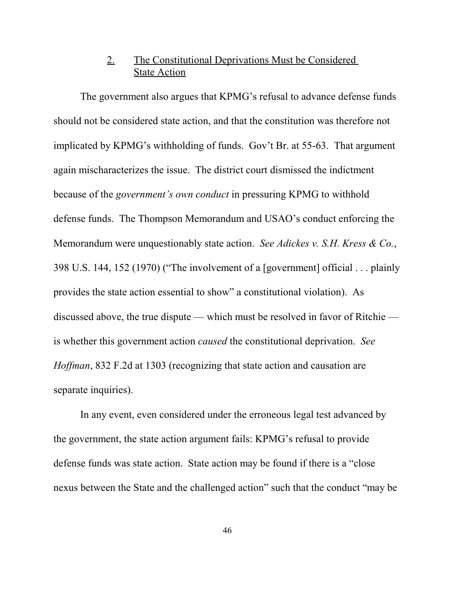# 2. The Constitutional Deprivations Must be Considered State Action

The government also argues that KPMG's refusal to advance defense funds should not be considered state action, and that the constitution was therefore not implicated by KPMG's withholding of funds. Gov't Br. at 55-63. That argument again mischaracterizes the issue. The district court dismissed the indictment because of the *government's own conduct* in pressuring KPMG to withhold defense funds. The Thompson Memorandum and USAO's conduct enforcing the Memorandum were unquestionably state action. *See Adickes v. S.H. Kress & Co.*, 398 U.S. 144, 152 (1970) ("The involvement of a [government] official . . . plainly provides the state action essential to show" a constitutional violation). As discussed above, the true dispute — which must be resolved in favor of Ritchie is whether this government action *caused* the constitutional deprivation. *See Hoffman*, 832 F.2d at 1303 (recognizing that state action and causation are separate inquiries).

In any event, even considered under the erroneous legal test advanced by the government, the state action argument fails: KPMG's refusal to provide defense funds was state action. State action may be found if there is a "close nexus between the State and the challenged action" such that the conduct "may be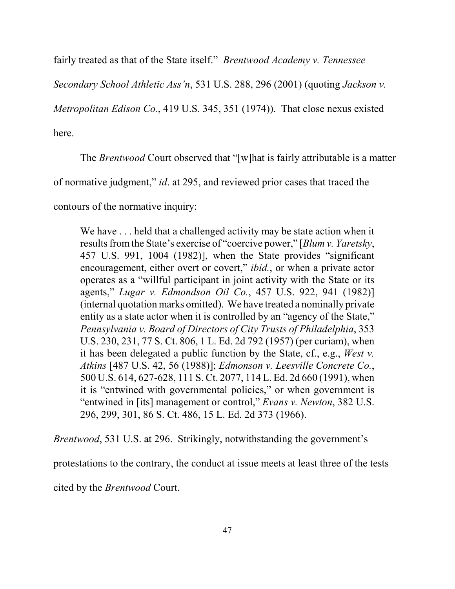fairly treated as that of the State itself." *Brentwood Academy v. Tennessee*

*Secondary School Athletic Ass'n*, 531 U.S. 288, 296 (2001) (quoting *Jackson v.*

*Metropolitan Edison Co.*, 419 U.S. 345, 351 (1974)). That close nexus existed

here.

The *Brentwood* Court observed that "[w]hat is fairly attributable is a matter

of normative judgment," *id*. at 295, and reviewed prior cases that traced the

contours of the normative inquiry:

We have ... held that a challenged activity may be state action when it results from the State's exercise of "coercive power," [*Blum v. Yaretsky*, 457 U.S. 991, 1004 (1982)], when the State provides "significant encouragement, either overt or covert," *ibid.*, or when a private actor operates as a "willful participant in joint activity with the State or its agents," *Lugar v. Edmondson Oil Co.*, 457 U.S. 922, 941 (1982)] (internal quotation marks omitted). We have treated a nominally private entity as a state actor when it is controlled by an "agency of the State," *Pennsylvania v. Board of Directors of City Trusts of Philadelphia*, 353 U.S. 230, 231, 77 S. Ct. 806, 1 L. Ed. 2d 792 (1957) (per curiam), when it has been delegated a public function by the State, cf., e.g., *West v. Atkins* [487 U.S. 42, 56 (1988)]; *Edmonson v. Leesville Concrete Co.*, 500 U.S. 614, 627-628, 111 S. Ct. 2077, 114 L. Ed. 2d 660 (1991), when it is "entwined with governmental policies," or when government is "entwined in [its] management or control," *Evans v. Newton*, 382 U.S. 296, 299, 301, 86 S. Ct. 486, 15 L. Ed. 2d 373 (1966).

*Brentwood*, 531 U.S. at 296. Strikingly, notwithstanding the government's

protestations to the contrary, the conduct at issue meets at least three of the tests

cited by the *Brentwood* Court.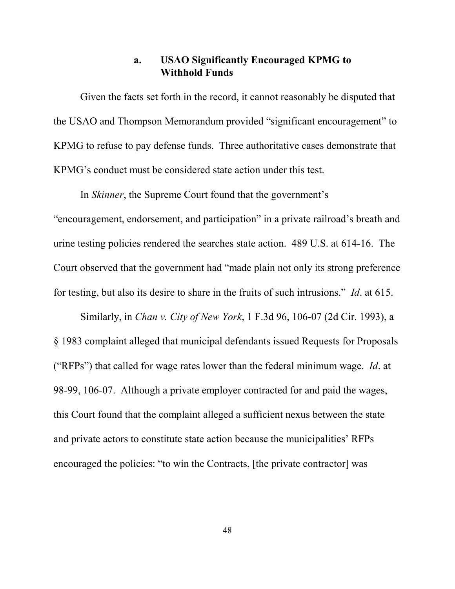### **a. USAO Significantly Encouraged KPMG to Withhold Funds**

Given the facts set forth in the record, it cannot reasonably be disputed that the USAO and Thompson Memorandum provided "significant encouragement" to KPMG to refuse to pay defense funds. Three authoritative cases demonstrate that KPMG's conduct must be considered state action under this test.

In *Skinner*, the Supreme Court found that the government's "encouragement, endorsement, and participation" in a private railroad's breath and urine testing policies rendered the searches state action. 489 U.S. at 614-16. The Court observed that the government had "made plain not only its strong preference for testing, but also its desire to share in the fruits of such intrusions." *Id*. at 615.

Similarly, in *Chan v. City of New York*, 1 F.3d 96, 106-07 (2d Cir. 1993), a § 1983 complaint alleged that municipal defendants issued Requests for Proposals ("RFPs") that called for wage rates lower than the federal minimum wage. *Id*. at 98-99, 106-07. Although a private employer contracted for and paid the wages, this Court found that the complaint alleged a sufficient nexus between the state and private actors to constitute state action because the municipalities' RFPs encouraged the policies: "to win the Contracts, [the private contractor] was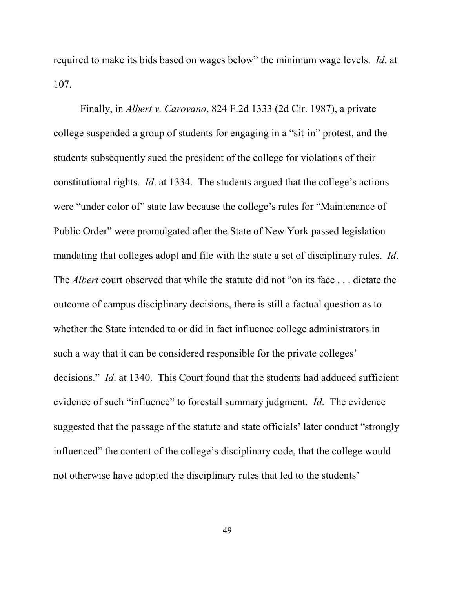required to make its bids based on wages below" the minimum wage levels. *Id*. at 107.

Finally, in *Albert v. Carovano*, 824 F.2d 1333 (2d Cir. 1987), a private college suspended a group of students for engaging in a "sit-in" protest, and the students subsequently sued the president of the college for violations of their constitutional rights. *Id*. at 1334. The students argued that the college's actions were "under color of" state law because the college's rules for "Maintenance of Public Order" were promulgated after the State of New York passed legislation mandating that colleges adopt and file with the state a set of disciplinary rules. *Id*. The *Albert* court observed that while the statute did not "on its face . . . dictate the outcome of campus disciplinary decisions, there is still a factual question as to whether the State intended to or did in fact influence college administrators in such a way that it can be considered responsible for the private colleges' decisions." *Id*. at 1340. This Court found that the students had adduced sufficient evidence of such "influence" to forestall summary judgment. *Id*. The evidence suggested that the passage of the statute and state officials' later conduct "strongly influenced" the content of the college's disciplinary code, that the college would not otherwise have adopted the disciplinary rules that led to the students'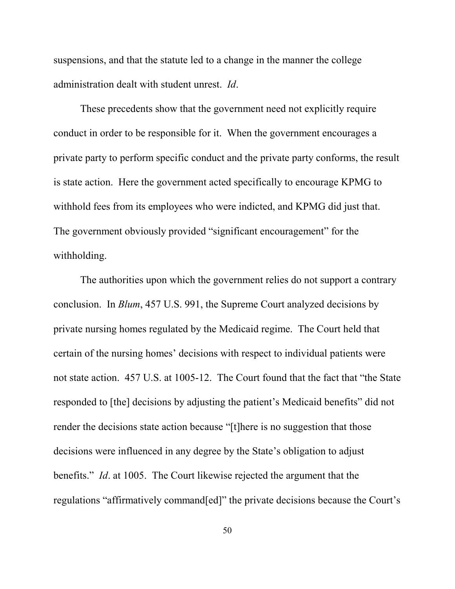suspensions, and that the statute led to a change in the manner the college administration dealt with student unrest. *Id*.

These precedents show that the government need not explicitly require conduct in order to be responsible for it. When the government encourages a private party to perform specific conduct and the private party conforms, the result is state action. Here the government acted specifically to encourage KPMG to withhold fees from its employees who were indicted, and KPMG did just that. The government obviously provided "significant encouragement" for the withholding.

The authorities upon which the government relies do not support a contrary conclusion. In *Blum*, 457 U.S. 991, the Supreme Court analyzed decisions by private nursing homes regulated by the Medicaid regime. The Court held that certain of the nursing homes' decisions with respect to individual patients were not state action. 457 U.S. at 1005-12. The Court found that the fact that "the State responded to [the] decisions by adjusting the patient's Medicaid benefits" did not render the decisions state action because "[t]here is no suggestion that those decisions were influenced in any degree by the State's obligation to adjust benefits." *Id*. at 1005. The Court likewise rejected the argument that the regulations "affirmatively command[ed]" the private decisions because the Court's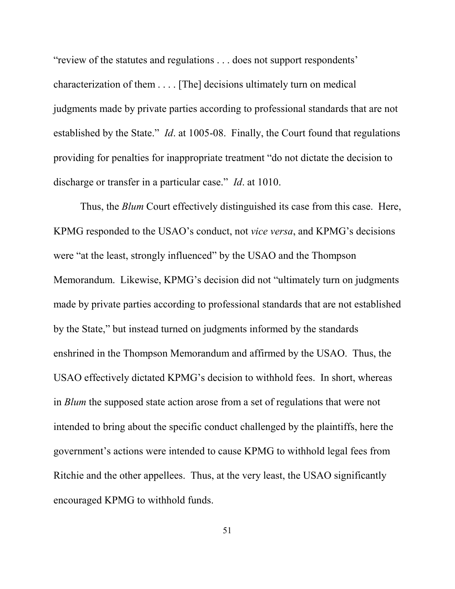"review of the statutes and regulations . . . does not support respondents' characterization of them . . . . [The] decisions ultimately turn on medical judgments made by private parties according to professional standards that are not established by the State." *Id*. at 1005-08. Finally, the Court found that regulations providing for penalties for inappropriate treatment "do not dictate the decision to discharge or transfer in a particular case." *Id*. at 1010.

Thus, the *Blum* Court effectively distinguished its case from this case. Here, KPMG responded to the USAO's conduct, not *vice versa*, and KPMG's decisions were "at the least, strongly influenced" by the USAO and the Thompson Memorandum. Likewise, KPMG's decision did not "ultimately turn on judgments made by private parties according to professional standards that are not established by the State," but instead turned on judgments informed by the standards enshrined in the Thompson Memorandum and affirmed by the USAO. Thus, the USAO effectively dictated KPMG's decision to withhold fees. In short, whereas in *Blum* the supposed state action arose from a set of regulations that were not intended to bring about the specific conduct challenged by the plaintiffs, here the government's actions were intended to cause KPMG to withhold legal fees from Ritchie and the other appellees. Thus, at the very least, the USAO significantly encouraged KPMG to withhold funds.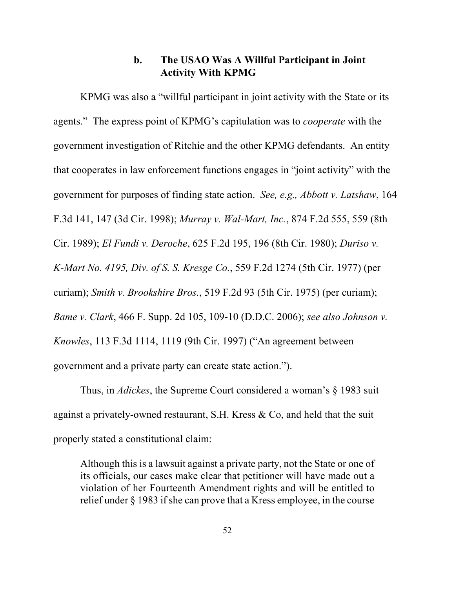#### **b. The USAO Was A Willful Participant in Joint Activity With KPMG**

KPMG was also a "willful participant in joint activity with the State or its agents." The express point of KPMG's capitulation was to *cooperate* with the government investigation of Ritchie and the other KPMG defendants. An entity that cooperates in law enforcement functions engages in "joint activity" with the government for purposes of finding state action. *See, e.g., Abbott v. Latshaw*, 164 F.3d 141, 147 (3d Cir. 1998); *Murray v. Wal-Mart, Inc.*, 874 F.2d 555, 559 (8th Cir. 1989); *El Fundi v. Deroche*, 625 F.2d 195, 196 (8th Cir. 1980); *Duriso v. K-Mart No. 4195, Div. of S. S. Kresge Co.*, 559 F.2d 1274 (5th Cir. 1977) (per curiam); *Smith v. Brookshire Bros.*, 519 F.2d 93 (5th Cir. 1975) (per curiam); *Bame v. Clark*, 466 F. Supp. 2d 105, 109-10 (D.D.C. 2006); *see also Johnson v. Knowles*, 113 F.3d 1114, 1119 (9th Cir. 1997) ("An agreement between government and a private party can create state action.").

Thus, in *Adickes*, the Supreme Court considered a woman's § 1983 suit against a privately-owned restaurant, S.H. Kress & Co, and held that the suit properly stated a constitutional claim:

Although this is a lawsuit against a private party, not the State or one of its officials, our cases make clear that petitioner will have made out a violation of her Fourteenth Amendment rights and will be entitled to relief under § 1983 if she can prove that a Kress employee, in the course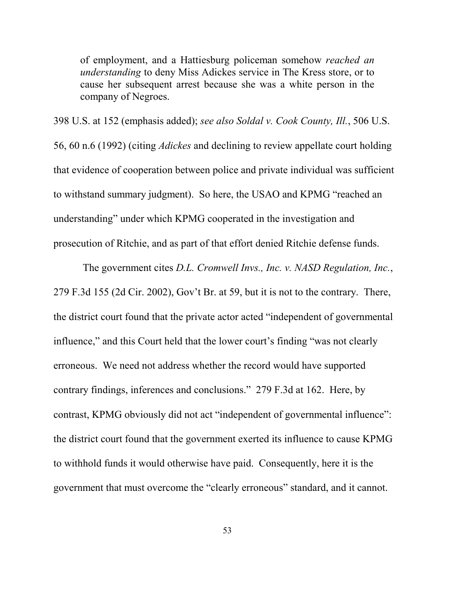of employment, and a Hattiesburg policeman somehow *reached an understanding* to deny Miss Adickes service in The Kress store, or to cause her subsequent arrest because she was a white person in the company of Negroes.

398 U.S. at 152 (emphasis added); *see also Soldal v. Cook County, Ill.*, 506 U.S. 56, 60 n.6 (1992) (citing *Adickes* and declining to review appellate court holding that evidence of cooperation between police and private individual was sufficient to withstand summary judgment). So here, the USAO and KPMG "reached an understanding" under which KPMG cooperated in the investigation and prosecution of Ritchie, and as part of that effort denied Ritchie defense funds.

 The government cites *D.L. Cromwell Invs., Inc. v. NASD Regulation, Inc.*, 279 F.3d 155 (2d Cir. 2002), Gov't Br. at 59, but it is not to the contrary. There, the district court found that the private actor acted "independent of governmental influence," and this Court held that the lower court's finding "was not clearly erroneous. We need not address whether the record would have supported contrary findings, inferences and conclusions." 279 F.3d at 162. Here, by contrast, KPMG obviously did not act "independent of governmental influence": the district court found that the government exerted its influence to cause KPMG to withhold funds it would otherwise have paid. Consequently, here it is the government that must overcome the "clearly erroneous" standard, and it cannot.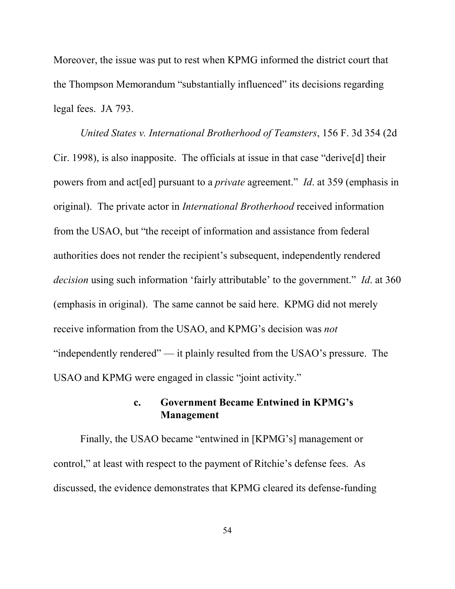Moreover, the issue was put to rest when KPMG informed the district court that the Thompson Memorandum "substantially influenced" its decisions regarding legal fees. JA 793.

*United States v. International Brotherhood of Teamsters*, 156 F. 3d 354 (2d Cir. 1998), is also inapposite. The officials at issue in that case "derive[d] their powers from and act[ed] pursuant to a *private* agreement." *Id*. at 359 (emphasis in original). The private actor in *International Brotherhood* received information from the USAO, but "the receipt of information and assistance from federal authorities does not render the recipient's subsequent, independently rendered *decision* using such information 'fairly attributable' to the government." *Id*. at 360 (emphasis in original). The same cannot be said here. KPMG did not merely receive information from the USAO, and KPMG's decision was *not* "independently rendered" — it plainly resulted from the USAO's pressure. The USAO and KPMG were engaged in classic "joint activity."

## **c. Government Became Entwined in KPMG's Management**

Finally, the USAO became "entwined in [KPMG's] management or control," at least with respect to the payment of Ritchie's defense fees. As discussed, the evidence demonstrates that KPMG cleared its defense-funding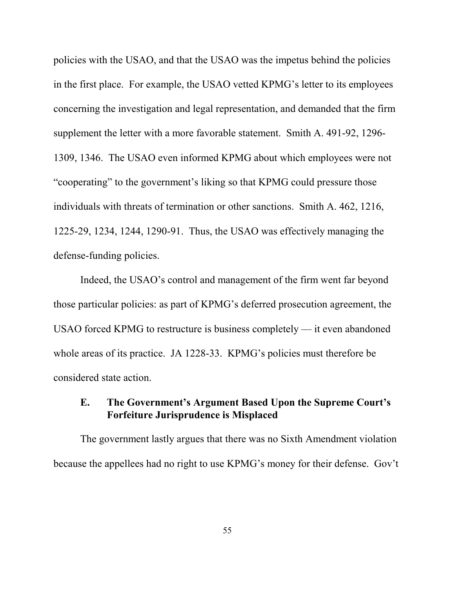policies with the USAO, and that the USAO was the impetus behind the policies in the first place. For example, the USAO vetted KPMG's letter to its employees concerning the investigation and legal representation, and demanded that the firm supplement the letter with a more favorable statement. Smith A. 491-92, 1296- 1309, 1346. The USAO even informed KPMG about which employees were not "cooperating" to the government's liking so that KPMG could pressure those individuals with threats of termination or other sanctions. Smith A. 462, 1216, 1225-29, 1234, 1244, 1290-91. Thus, the USAO was effectively managing the defense-funding policies.

Indeed, the USAO's control and management of the firm went far beyond those particular policies: as part of KPMG's deferred prosecution agreement, the USAO forced KPMG to restructure is business completely — it even abandoned whole areas of its practice. JA 1228-33. KPMG's policies must therefore be considered state action.

### **E. The Government's Argument Based Upon the Supreme Court's Forfeiture Jurisprudence is Misplaced**

The government lastly argues that there was no Sixth Amendment violation because the appellees had no right to use KPMG's money for their defense. Gov't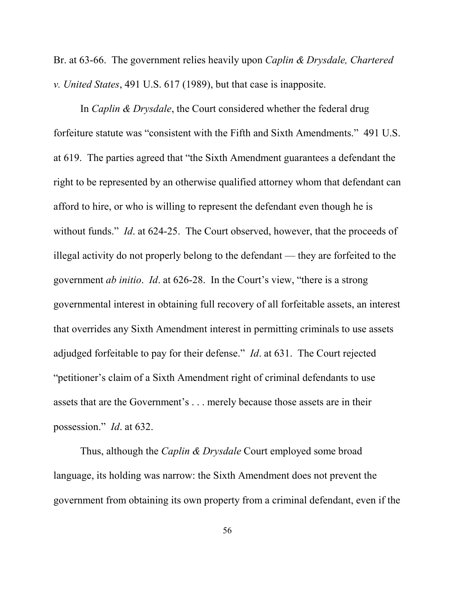Br. at 63-66. The government relies heavily upon *Caplin & Drysdale, Chartered v. United States*, 491 U.S. 617 (1989), but that case is inapposite.

In *Caplin & Drysdale*, the Court considered whether the federal drug forfeiture statute was "consistent with the Fifth and Sixth Amendments." 491 U.S. at 619. The parties agreed that "the Sixth Amendment guarantees a defendant the right to be represented by an otherwise qualified attorney whom that defendant can afford to hire, or who is willing to represent the defendant even though he is without funds." *Id.* at 624-25. The Court observed, however, that the proceeds of illegal activity do not properly belong to the defendant — they are forfeited to the government *ab initio*. *Id*. at 626-28. In the Court's view, "there is a strong governmental interest in obtaining full recovery of all forfeitable assets, an interest that overrides any Sixth Amendment interest in permitting criminals to use assets adjudged forfeitable to pay for their defense." *Id*. at 631. The Court rejected "petitioner's claim of a Sixth Amendment right of criminal defendants to use assets that are the Government's . . . merely because those assets are in their possession." *Id*. at 632.

Thus, although the *Caplin & Drysdale* Court employed some broad language, its holding was narrow: the Sixth Amendment does not prevent the government from obtaining its own property from a criminal defendant, even if the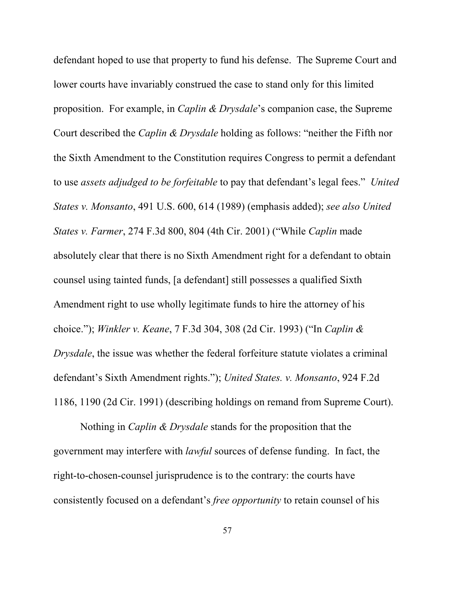defendant hoped to use that property to fund his defense. The Supreme Court and lower courts have invariably construed the case to stand only for this limited proposition. For example, in *Caplin & Drysdale*'s companion case, the Supreme Court described the *Caplin & Drysdale* holding as follows: "neither the Fifth nor the Sixth Amendment to the Constitution requires Congress to permit a defendant to use *assets adjudged to be forfeitable* to pay that defendant's legal fees." *United States v. Monsanto*, 491 U.S. 600, 614 (1989) (emphasis added); *see also United States v. Farmer*, 274 F.3d 800, 804 (4th Cir. 2001) ("While *Caplin* made absolutely clear that there is no Sixth Amendment right for a defendant to obtain counsel using tainted funds, [a defendant] still possesses a qualified Sixth Amendment right to use wholly legitimate funds to hire the attorney of his choice."); *Winkler v. Keane*, 7 F.3d 304, 308 (2d Cir. 1993) ("In *Caplin & Drysdale*, the issue was whether the federal forfeiture statute violates a criminal defendant's Sixth Amendment rights."); *United States. v. Monsanto*, 924 F.2d 1186, 1190 (2d Cir. 1991) (describing holdings on remand from Supreme Court).

Nothing in *Caplin & Drysdale* stands for the proposition that the government may interfere with *lawful* sources of defense funding. In fact, the right-to-chosen-counsel jurisprudence is to the contrary: the courts have consistently focused on a defendant's *free opportunity* to retain counsel of his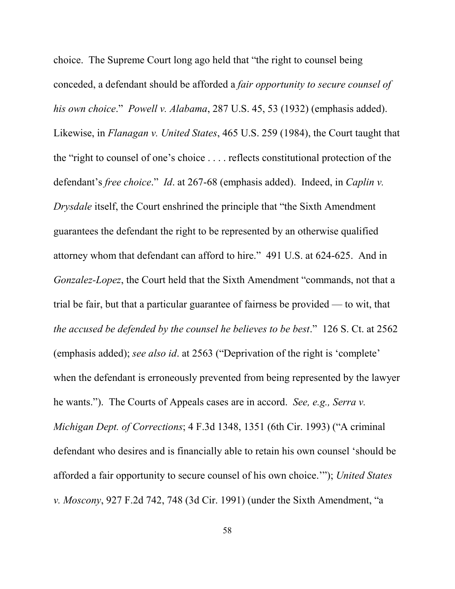choice. The Supreme Court long ago held that "the right to counsel being conceded, a defendant should be afforded a *fair opportunity to secure counsel of his own choice*." *Powell v. Alabama*, 287 U.S. 45, 53 (1932) (emphasis added). Likewise, in *Flanagan v. United States*, 465 U.S. 259 (1984), the Court taught that the "right to counsel of one's choice . . . . reflects constitutional protection of the defendant's *free choice*." *Id*. at 267-68 (emphasis added). Indeed, in *Caplin v. Drysdale* itself, the Court enshrined the principle that "the Sixth Amendment guarantees the defendant the right to be represented by an otherwise qualified attorney whom that defendant can afford to hire." 491 U.S. at 624-625. And in *Gonzalez-Lopez*, the Court held that the Sixth Amendment "commands, not that a trial be fair, but that a particular guarantee of fairness be provided — to wit, that *the accused be defended by the counsel he believes to be best*." 126 S. Ct. at 2562 (emphasis added); *see also id*. at 2563 ("Deprivation of the right is 'complete' when the defendant is erroneously prevented from being represented by the lawyer he wants."). The Courts of Appeals cases are in accord. *See, e.g., Serra v. Michigan Dept. of Corrections*; 4 F.3d 1348, 1351 (6th Cir. 1993) ("A criminal defendant who desires and is financially able to retain his own counsel 'should be afforded a fair opportunity to secure counsel of his own choice.'"); *United States v. Moscony*, 927 F.2d 742, 748 (3d Cir. 1991) (under the Sixth Amendment, "a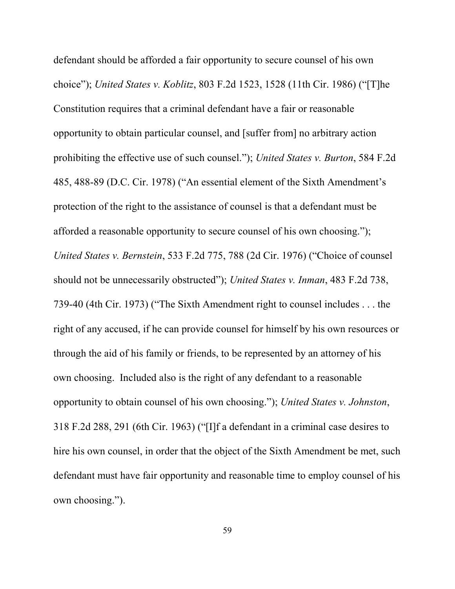defendant should be afforded a fair opportunity to secure counsel of his own choice"); *United States v. Koblitz*, 803 F.2d 1523, 1528 (11th Cir. 1986) ("[T]he Constitution requires that a criminal defendant have a fair or reasonable opportunity to obtain particular counsel, and [suffer from] no arbitrary action prohibiting the effective use of such counsel."); *United States v. Burton*, 584 F.2d 485, 488-89 (D.C. Cir. 1978) ("An essential element of the Sixth Amendment's protection of the right to the assistance of counsel is that a defendant must be afforded a reasonable opportunity to secure counsel of his own choosing."); *United States v. Bernstein*, 533 F.2d 775, 788 (2d Cir. 1976) ("Choice of counsel should not be unnecessarily obstructed"); *United States v. Inman*, 483 F.2d 738, 739-40 (4th Cir. 1973) ("The Sixth Amendment right to counsel includes . . . the right of any accused, if he can provide counsel for himself by his own resources or through the aid of his family or friends, to be represented by an attorney of his own choosing. Included also is the right of any defendant to a reasonable opportunity to obtain counsel of his own choosing."); *United States v. Johnston*, 318 F.2d 288, 291 (6th Cir. 1963) ("[I]f a defendant in a criminal case desires to hire his own counsel, in order that the object of the Sixth Amendment be met, such defendant must have fair opportunity and reasonable time to employ counsel of his own choosing.").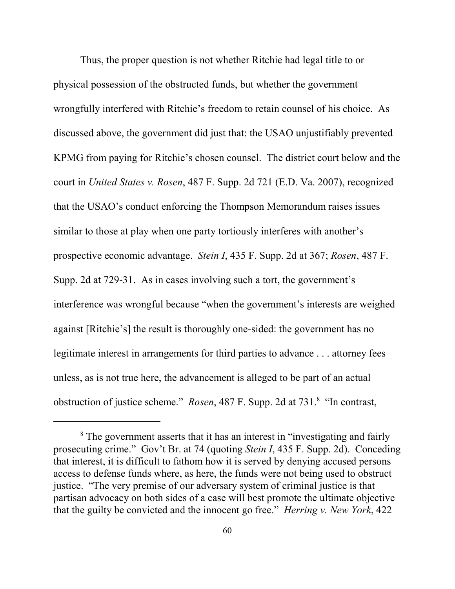Thus, the proper question is not whether Ritchie had legal title to or physical possession of the obstructed funds, but whether the government wrongfully interfered with Ritchie's freedom to retain counsel of his choice. As discussed above, the government did just that: the USAO unjustifiably prevented KPMG from paying for Ritchie's chosen counsel. The district court below and the court in *United States v. Rosen*, 487 F. Supp. 2d 721 (E.D. Va. 2007), recognized that the USAO's conduct enforcing the Thompson Memorandum raises issues similar to those at play when one party tortiously interferes with another's prospective economic advantage. *Stein I*, 435 F. Supp. 2d at 367; *Rosen*, 487 F. Supp. 2d at 729-31. As in cases involving such a tort, the government's interference was wrongful because "when the government's interests are weighed against [Ritchie's] the result is thoroughly one-sided: the government has no legitimate interest in arrangements for third parties to advance . . . attorney fees unless, as is not true here, the advancement is alleged to be part of an actual obstruction of justice scheme." *Rosen*, 487 F. Supp. 2d at 731.<sup>8</sup> "In contrast,

<sup>&</sup>lt;sup>8</sup> The government asserts that it has an interest in "investigating and fairly prosecuting crime." Gov't Br. at 74 (quoting *Stein I*, 435 F. Supp. 2d). Conceding that interest, it is difficult to fathom how it is served by denying accused persons access to defense funds where, as here, the funds were not being used to obstruct justice. "The very premise of our adversary system of criminal justice is that partisan advocacy on both sides of a case will best promote the ultimate objective that the guilty be convicted and the innocent go free." *Herring v. New York*, 422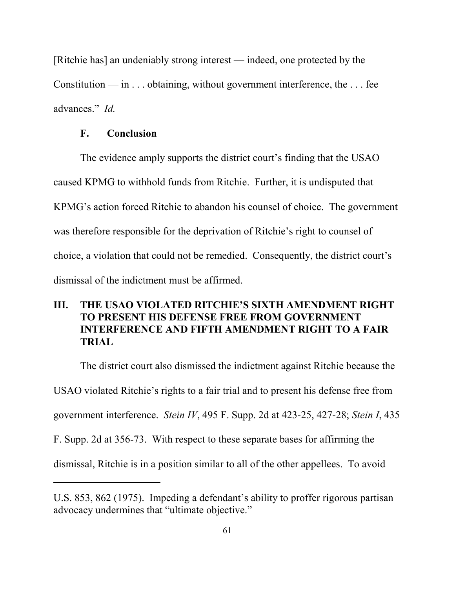[Ritchie has] an undeniably strong interest — indeed, one protected by the Constitution — in  $\dots$  obtaining, without government interference, the  $\dots$  fee advances." *Id.*

#### **F. Conclusion**

The evidence amply supports the district court's finding that the USAO caused KPMG to withhold funds from Ritchie. Further, it is undisputed that KPMG's action forced Ritchie to abandon his counsel of choice. The government was therefore responsible for the deprivation of Ritchie's right to counsel of choice, a violation that could not be remedied. Consequently, the district court's dismissal of the indictment must be affirmed.

# **III. THE USAO VIOLATED RITCHIE'S SIXTH AMENDMENT RIGHT TO PRESENT HIS DEFENSE FREE FROM GOVERNMENT INTERFERENCE AND FIFTH AMENDMENT RIGHT TO A FAIR TRIAL**

The district court also dismissed the indictment against Ritchie because the USAO violated Ritchie's rights to a fair trial and to present his defense free from government interference. *Stein IV*, 495 F. Supp. 2d at 423-25, 427-28; *Stein I*, 435 F. Supp. 2d at 356-73. With respect to these separate bases for affirming the dismissal, Ritchie is in a position similar to all of the other appellees. To avoid

U.S. 853, 862 (1975). Impeding a defendant's ability to proffer rigorous partisan advocacy undermines that "ultimate objective."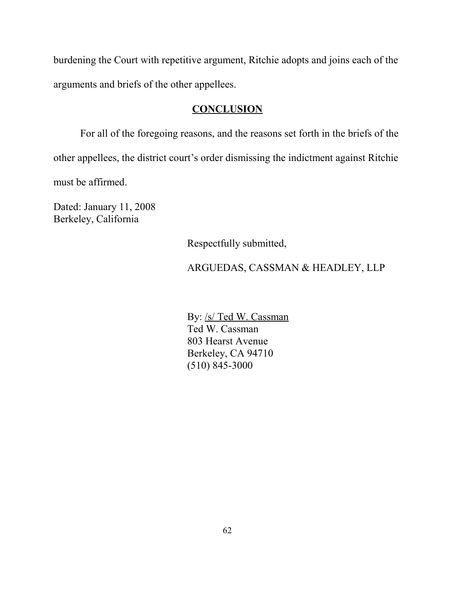burdening the Court with repetitive argument, Ritchie adopts and joins each of the arguments and briefs of the other appellees.

### **CONCLUSION**

For all of the foregoing reasons, and the reasons set forth in the briefs of the other appellees, the district court's order dismissing the indictment against Ritchie must be affirmed.

Dated: January 11, 2008 Berkeley, California

Respectfully submitted,

## ARGUEDAS, CASSMAN & HEADLEY, LLP

By: /s/ Ted W. Cassman Ted W. Cassman 803 Hearst Avenue Berkeley, CA 94710 (510) 845-3000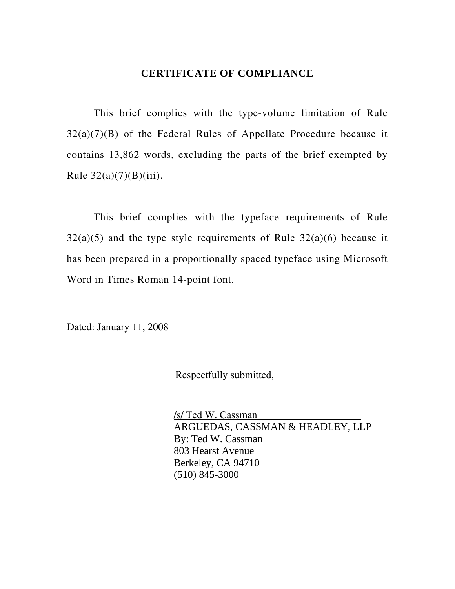#### **CERTIFICATE OF COMPLIANCE**

This brief complies with the type-volume limitation of Rule 32(a)(7)(B) of the Federal Rules of Appellate Procedure because it contains 13,862 words, excluding the parts of the brief exempted by Rule  $32(a)(7)(B)(iii)$ .

This brief complies with the typeface requirements of Rule  $32(a)(5)$  and the type style requirements of Rule  $32(a)(6)$  because it has been prepared in a proportionally spaced typeface using Microsoft Word in Times Roman 14-point font.

Dated: January 11, 2008

Respectfully submitted,

 /s/ Ted W. Cassman ARGUEDAS, CASSMAN & HEADLEY, LLP By: Ted W. Cassman 803 Hearst Avenue Berkeley, CA 94710 (510) 845-3000